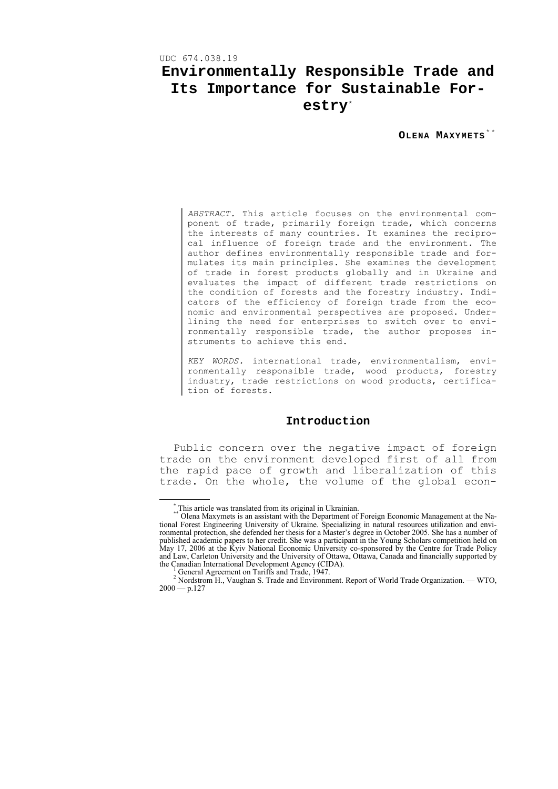UDC 674.038.19

# **Environmentally Responsible Trade and Its Importance for Sustainable Forestry**[\\*](#page-0-0)

**OLENA MAXYMETS** [\\* \\*](#page-0-1)

*ABSTRACT.* This article focuses on the environmental component of trade, primarily foreign trade, which concerns the interests of many countries. It examines the reciprocal influence of foreign trade and the environment. The author defines environmentally responsible trade and formulates its main principles. She examines the development of trade in forest products globally and in Ukraine and evaluates the impact of different trade restrictions on the condition of forests and the forestry industry. Indicators of the efficiency of foreign trade from the economic and environmental perspectives are proposed. Underlining the need for enterprises to switch over to environmentally responsible trade, the author proposes instruments to achieve this end.

*KEY WORDS.* international trade, environmentalism, environmentally responsible trade, wood products, forestry industry, trade restrictions on wood products, certification of forests.

# **Introduction**

Public concern over the negative impact of foreign trade on the environment developed first of all from the rapid pace of growth and liberalization of this trade. On the whole, the volume of the global econ-

 <sup>\*</sup> This article was translated from its original in Ukrainian.

<span id="page-0-1"></span><span id="page-0-0"></span><sup>\*\*</sup> Olena Maxymets is an assistant with the Department of Foreign Economic Management at the National Forest Engineering University of Ukraine. Specializing in natural resources utilization and environmental protection, she defended her thesis for a Master's degree in October 2005. She has a number of published academic papers to her credit. She was a participant in the Young Scholars competition held on May 17, 2006 at the Kyiv National Economic University co-sponsored by the Centre for Trade Policy and Law, Carleton University and the University of Ottawa, Ottawa, Canada and financially supported by the Canadian International Development Agency (CIDA).

General Agreement on Tariffs and Trade, 1947.

 $2 \text{ Nordstrom H.}$ , Vaughan S. Trade and Environment. Report of World Trade Organization. — WTO,  $2000 - p.127$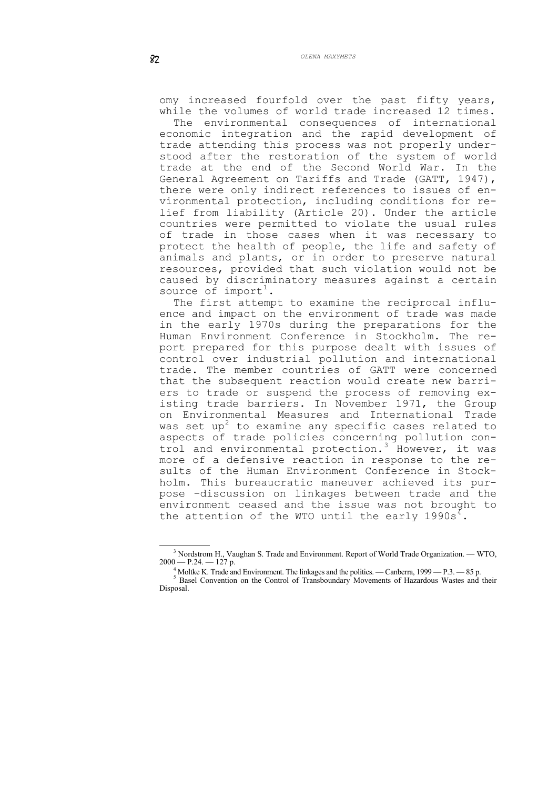omy increased fourfold over the past fifty years, while the volumes of world trade increased 12 times.

The environmental consequences of international economic integration and the rapid development of trade attending this process was not properly understood after the restoration of the system of world trade at the end of the Second World War. In the General Agreement on Tariffs and Trade (GATT, 1947), there were only indirect references to issues of environmental protection, including conditions for relief from liability (Article 20). Under the article countries were permitted to violate the usual rules of trade in those cases when it was necessary to protect the health of people, the life and safety of animals and plants, or in order to preserve natural resources, provided that such violation would not be caused by discriminatory measures against a certain source of import<sup>[1](#page-1-0)</sup>.

The first attempt to examine the reciprocal influence and impact on the environment of trade was made in the early 1970s during the preparations for the Human Environment Conference in Stockholm. The report prepared for this purpose dealt with issues of control over industrial pollution and international trade. The member countries of GATT were concerned that the subsequent reaction would create new barriers to trade or suspend the process of removing existing trade barriers. In November 1971, the Group on Environmental Measures and International Trade was set  $up<sup>2</sup>$  $up<sup>2</sup>$  $up<sup>2</sup>$  to examine any specific cases related to aspects of trade policies concerning pollution con-trol and environmental protection.<sup>[3](#page-1-2)</sup> However, it was more of a defensive reaction in response to the results of the Human Environment Conference in Stockholm. This bureaucratic maneuver achieved its purpose –discussion on linkages between trade and the environment ceased and the issue was not brought to the attention of the WTO until the early  $1990s^4$  $1990s^4$ .

<sup>1</sup>  $3$  Nordstrom H., Vaughan S. Trade and Environment. Report of World Trade Organization. — WTO,  $2000 - P.24. - 127p.$ 

Moltke K. Trade and Environment. The linkages and the politics. — Canberra, 1999 — P.3. — 85 p.

<span id="page-1-3"></span><span id="page-1-2"></span><span id="page-1-1"></span><span id="page-1-0"></span>Basel Convention on the Control of Transboundary Movements of Hazardous Wastes and their Disposal.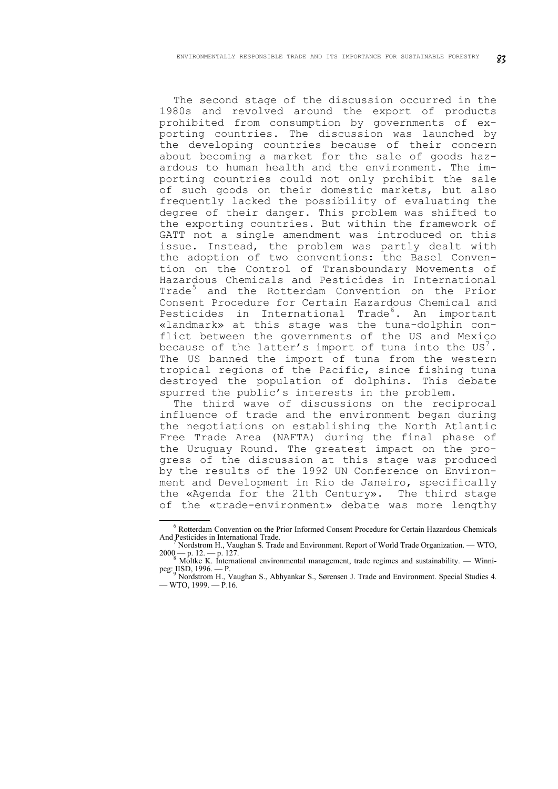The second stage of the discussion occurred in the 1980s and revolved around the export of products prohibited from consumption by governments of exporting countries. The discussion was launched by the developing countries because of their concern about becoming a market for the sale of goods hazardous to human health and the environment. The importing countries could not only prohibit the sale of such goods on their domestic markets, but also frequently lacked the possibility of evaluating the degree of their danger. This problem was shifted to the exporting countries. But within the framework of GATT not a single amendment was introduced on this issue. Instead, the problem was partly dealt with the adoption of two conventions: the Basel Convention on the Control of Transboundary Movements of Hazardous Chemicals and Pesticides in International Trade<sup>[5](#page-2-0)</sup> and the Rotterdam Convention on the Prior Consent Procedure for Certain Hazardous Chemical and Pesticides in International Trade<sup>[6](#page-2-1)</sup>. An important «landmark» at this stage was the tuna-dolphin conflict between the governments of the US and Mexico because of the latter's import of tuna into the US $^7.$  $^7.$  $^7.$ The US banned the import of tuna from the western tropical regions of the Pacific, since fishing tuna destroyed the population of dolphins. This debate spurred the public's interests in the problem.

The third wave of discussions on the reciprocal influence of trade and the environment began during the negotiations on establishing the North Atlantic Free Trade Area (NAFTA) during the final phase of the Uruguay Round. The greatest impact on the progress of the discussion at this stage was produced by the results of the 1992 UN Conference on Environment and Development in Rio de Janeiro, specifically the «Agenda for the 21th Century». The third stage of the «trade-environment» debate was more lengthy

<sup>6</sup> Rotterdam Convention on the Prior Informed Consent Procedure for Certain Hazardous Chemicals And Pesticides in International Trade.

Nordstrom H., Vaughan S. Trade and Environment. Report of World Trade Organization. — WTO,  $2000 - p.$  12. -- p. 127.  $\frac{3}{8}$  Moltke K. International environmental management, trade regimes and sustainability. -- Winni-

peg: IISD, 1996. — P.<br><sup>9</sup> Nordstrom H., Vaughan S., Abhyankar S., Sørensen J. Trade and Environment. Special Studies 4.

<span id="page-2-2"></span><span id="page-2-1"></span><span id="page-2-0"></span><sup>—</sup> WTO, 1999. — Р.16.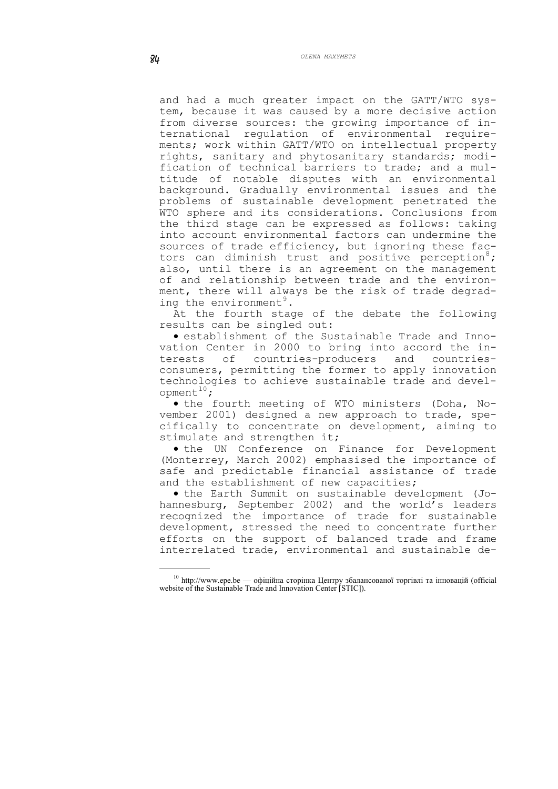and had a much greater impact on the GATT/WTO system, because it was caused by a more decisive action from diverse sources: the growing importance of international regulation of environmental requirements; work within GATT/WTO on intellectual property rights, sanitary and phytosanitary standards; modification of technical barriers to trade; and a multitude of notable disputes with an environmental background. Gradually environmental issues and the problems of sustainable development penetrated the WTO sphere and its considerations. Conclusions from the third stage can be expressed as follows: taking into account environmental factors can undermine the sources of trade efficiency, but ignoring these fac-tors can diminish trust and positive perception<sup>[8](#page-3-0)</sup>; also, until there is an agreement on the management of and relationship between trade and the environment, there will always be the risk of trade degrad-ing the environment<sup>[9](#page-3-1)</sup>.

At the fourth stage of the debate the following results can be singled out:

• establishment of the Sustainable Trade and Innovation Center in 2000 to bring into accord the interests of countries-producers and countriesconsumers, permitting the former to apply innovation technologies to achieve sustainable trade and devel- $opment<sup>10</sup>$  $opment<sup>10</sup>$  $opment<sup>10</sup>$ ;

• the fourth meeting of WTO ministers (Doha, November 2001) designed a new approach to trade, specifically to concentrate on development, aiming to stimulate and strengthen it;

• the UN Conference on Finance for Development (Monterrey, March 2002) emphasised the importance of safe and predictable financial assistance of trade and the establishment of new capacities;

• the Earth Summit on sustainable development (Johannesburg, September 2002) and the world's leaders recognized the importance of trade for sustainable development, stressed the need to concentrate further efforts on the support of balanced trade and frame interrelated trade, environmental and sustainable de-

<span id="page-3-2"></span><span id="page-3-1"></span><span id="page-3-0"></span> $10$  http://www.epe.be — офіційна сторінка Центру збалансованої торгівлі та інновацій (official website of the Sustainable Trade and Innovation Center [STIC]).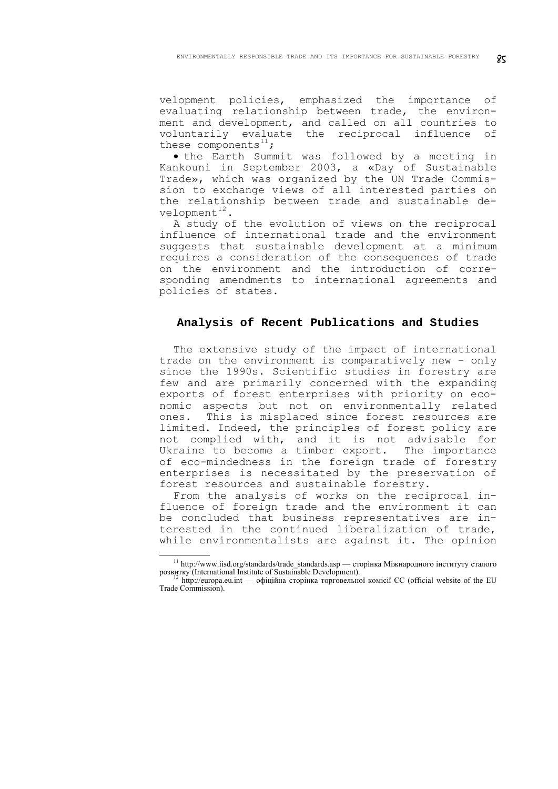velopment policies, emphasized the importance of evaluating relationship between trade, the environment and development, and called on all countries to voluntarily evaluate the reciprocal influence of these components<sup>[11](#page-4-0)</sup>;

• the Earth Summit was followed by a meeting in Kankouni in September 2003, a «Day of Sustainable Trade», which was organized by the UN Trade Commission to exchange views of all interested parties on the relationship between trade and sustainable development $12$ .

A study of the evolution of views on the reciprocal influence of international trade and the environment suggests that sustainable development at a minimum requires a consideration of the consequences of trade on the environment and the introduction of corresponding amendments to international agreements and policies of states.

## **Analysis of Recent Publications and Studies**

The extensive study of the impact of international trade on the environment is comparatively new – only since the 1990s. Scientific studies in forestry are few and are primarily concerned with the expanding exports of forest enterprises with priority on economic aspects but not on environmentally related ones. This is misplaced since forest resources are limited. Indeed, the principles of forest policy are not complied with, and it is not advisable for Ukraine to become a timber export. The importance of eco-mindedness in the foreign trade of forestry enterprises is necessitated by the preservation of forest resources and sustainable forestry.

From the analysis of works on the reciprocal influence of foreign trade and the environment it can be concluded that business representatives are interested in the continued liberalization of trade, while environmentalists are against it. The opinion

<span id="page-4-0"></span><sup>&</sup>lt;sup>11</sup> http://www.iisd.org/standards/trade\_standards.asp — сторінка Міжнародного інституту сталого розвитку (International Institute of Sustainable Development).

<span id="page-4-1"></span>http://europa.eu.int — офіційна сторінка торговельної комісії ЄС (official website of the EU Trade Commission).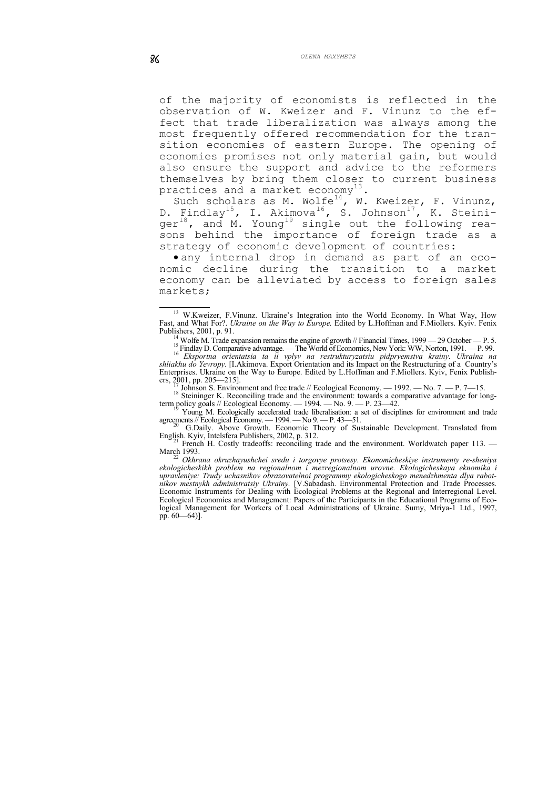of the majority of economists is reflected in the observation of W. Kweizer and F. Vinunz to the effect that trade liberalization was always among the most frequently offered recommendation for the transition economies of eastern Europe. The opening of economies promises not only material gain, but would also ensure the support and advice to the reformers themselves by bring them closer to current business practices and a market economy<sup>[13](#page-5-0)</sup>.

Such scholars as M. Wolfe<sup>[14](#page-5-1)</sup>, W. Kweizer, F. Vinunz, D. Findlay<sup>[15](#page-5-2)</sup>, I. Akimova<sup>[16](#page-5-3)</sup>, S. Johnson<sup>[17](#page-5-4)</sup>, K. Steini-ger<sup>[18](#page-5-5)</sup>, and M. Young<sup>[19](#page-5-6)</sup> single out the following reasons behind the importance of foreign trade as a strategy of economic development of countries:

• any internal drop in demand as part of an economic decline during the transition to a market economy can be alleviated by access to foreign sales markets;

<span id="page-5-0"></span> $\overline{a}$ <sup>13</sup> W.Kweizer, F.Vinunz. Ukraine's Integration into the World Economy. In What Way, How Fast, and What For?. *Ukraine on the Way to Europe.* Edited by L.Hoffman and F.Miollers. Kyiv. Fenix Publishers, 2001, p. 91.

14 Wolfe M. Trade expansion remains the engine of growth // Financial Times, 1999 — 29 October — P. 5.<br><sup>15</sup> Findlay D. Comparative advantage. — The World of Economics, New York: WW, Norton, 1991. — P. 99.

<span id="page-5-1"></span> Findlay D. Comparative advantage. — The World of Economics, New York: WW, Norton, 1991. — P. 99. 16 *Eksportna orientatsia ta ii vplyv na restrukturyzatsiu pidpryemstva krainy. Ukraina na shliakhu do Yevropy.* [I.Akimova. Export Orientation and its Impact on the Restructuring of a Country's Enterprises. Ukraine on the Way to Europe. Edited by L.Hoffman and F.Miollers. Kyiv, Fenix Publishers,  $2001$ , pp.  $205 - 215$ ].

Johnson S. Environment and free trade // Ecological Economy. — 1992. — No. 7. — P. 7—15.

<span id="page-5-2"></span><sup>18</sup> Steininger K. Reconciling trade and the environment: towards a comparative advantage for longterm policy goals // Ecological Economy.  $-1994. -$  No. 9.  $-$  P. 23–42.

<sup>19</sup> Young M. Ecologically accelerated trade liberalisation: a set of disciplines for environment and trade agreements // Ecological Economy. — 1994. — No 9. — P. 43—51.

<span id="page-5-3"></span>G.Daily. Above Growth. Economic Theory of Sustainable Development. Translated from English. Kyiv, Intelsfera Publishers, 2002, p. 312.

<sup>21</sup> French H. Costly tradeoffs: reconciling trade and the environment. Worldwatch paper 113. — March 1993.

<span id="page-5-6"></span><span id="page-5-5"></span><span id="page-5-4"></span>March 1993. 22 *Okhrana okruzhayushchei sredu i torgovye protsesy. Ekonomicheskiye instrumenty re-sheniya ekologicheskikh problem na regionalnom i mezregionalnom urovne. Ekologicheskaya eknomika i upravleniye: Trudy uchasnikov obrazovatelnoi programmy ekologicheskogo menedzhmenta dlya rabotnikov mestnykh administratsiy Ukrainy.* [V.Sabadash. Environmental Protection and Trade Processes. Economic Instruments for Dealing with Ecological Problems at the Regional and Interregional Level. Ecological Economics and Management: Papers of the Participants in the Educational Programs of Ecological Management for Workers of Local Administrations of Ukraine. Sumy, Mriya-1 Ltd., 1997, pp. 60—64)].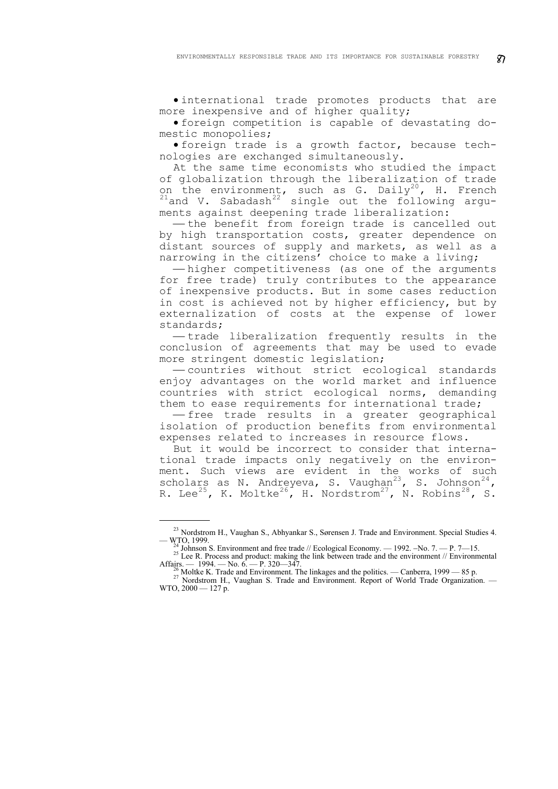• international trade promotes products that are more inexpensive and of higher quality;

• foreign competition is capable of devastating domestic monopolies;

• foreign trade is a growth factor, because technologies are exchanged simultaneously.

At the same time economists who studied the impact of globalization through the liberalization of trade on the environment, such as G. Daily<sup>[20](#page-6-0)</sup>, H. French  $21$ and V. Sabadash $22$  single out the following arguments against deepening trade liberalization:

- the benefit from foreign trade is cancelled out by high transportation costs, greater dependence on distant sources of supply and markets, as well as a narrowing in the citizens' choice to make a living;

-higher competitiveness (as one of the arguments for free trade) truly contributes to the appearance of inexpensive products. But in some cases reduction in cost is achieved not by higher efficiency, but by externalization of costs at the expense of lower standards;

- trade liberalization frequently results in the conclusion of agreements that may be used to evade more stringent domestic legislation;

⎯ countries without strict ecological standards enjoy advantages on the world market and influence countries with strict ecological norms, demanding them to ease requirements for international trade;

-free trade results in a greater geographical isolation of production benefits from environmental expenses related to increases in resource flows.

But it would be incorrect to consider that international trade impacts only negatively on the environment. Such views are evident in the works of such scholars as N. Andreyeva, S. Vaughan<sup>[23](#page-6-3)</sup>, S. Johnson<sup>[24](#page-6-4)</sup>, R. Lee $^{25}$  $^{25}$  $^{25}$ , K. Moltke $^{26}$  $^{26}$  $^{26}$ , H. Nordstrom $^{27}$  $^{27}$  $^{27}$ , N. Robins $^{28}$  $^{28}$  $^{28}$ , S.

<span id="page-6-3"></span><span id="page-6-2"></span><span id="page-6-1"></span><span id="page-6-0"></span><sup>&</sup>lt;sup>23</sup> Nordstrom H., Vaughan S., Abhyankar S., Sørensen J. Trade and Environment. Special Studies 4.<br>  $-W<sub>1</sub>TO$ , 1999.

<span id="page-6-4"></span><sup>&</sup>lt;sup>24</sup> Johnson S. Environment and free trade // Ecological Economy. — 1992. –No. 7. — P. 7—15.<br><sup>25</sup> Lee R. Process and product: making the link between trade and the environment // Environmental Affairs. — 1994. — No. 6. —

<span id="page-6-7"></span><span id="page-6-6"></span><span id="page-6-5"></span><sup>&</sup>lt;sup>26</sup>Moltke K. Trade and Environment. The linkages and the politics. — Canberra, 1999 — 85 p. 27 Nordstrom H., Vaughan S. Trade and Environment. Report of World Trade Organization. — WTO, 2000 — 127 р.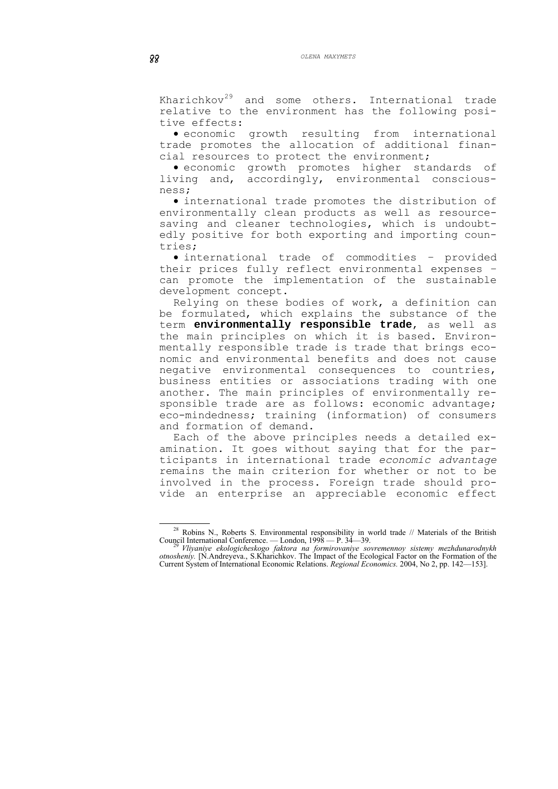Kharichkov<sup>[29](#page-7-0)</sup> and some others. International trade relative to the environment has the following positive effects:

• economic growth resulting from international trade promotes the allocation of additional financial resources to protect the environment;

• economic growth promotes higher standards of living and, accordingly, environmental consciousness;

• international trade promotes the distribution of environmentally clean products as well as resourcesaving and cleaner technologies, which is undoubtedly positive for both exporting and importing countries;

• international trade of commodities – provided their prices fully reflect environmental expenses – can promote the implementation of the sustainable development concept.

Relying on these bodies of work, a definition can be formulated, which explains the substance of the term **environmentally responsible trade**, as well as the main principles on which it is based. Environmentally responsible trade is trade that brings economic and environmental benefits and does not cause negative environmental consequences to countries, business entities or associations trading with one another. The main principles of environmentally responsible trade are as follows: economic advantage; eco-mindedness; training (information) of consumers and formation of demand.

Each of the above principles needs a detailed examination. It goes without saying that for the participants in international trade *economic advantage* remains the main criterion for whether or not to be involved in the process. Foreign trade should provide an enterprise an appreciable economic effect

<sup>&</sup>lt;sup>28</sup> Robins N., Roberts S. Environmental responsibility in world trade // Materials of the British Council International Conference. — London, 1998 — Р. 34—39. 29 *Vliyaniye ekologicheskogo faktora na formirovaniye sovremennoy sistemy mezhdunarodnykh* 

<span id="page-7-0"></span>*otnosheniy.* [N.Andreyeva., S.Kharichkov. The Impact of the Ecological Factor on the Formation of the Current System of International Economic Relations. *Regional Economics.* 2004, No 2, pp. 142—153].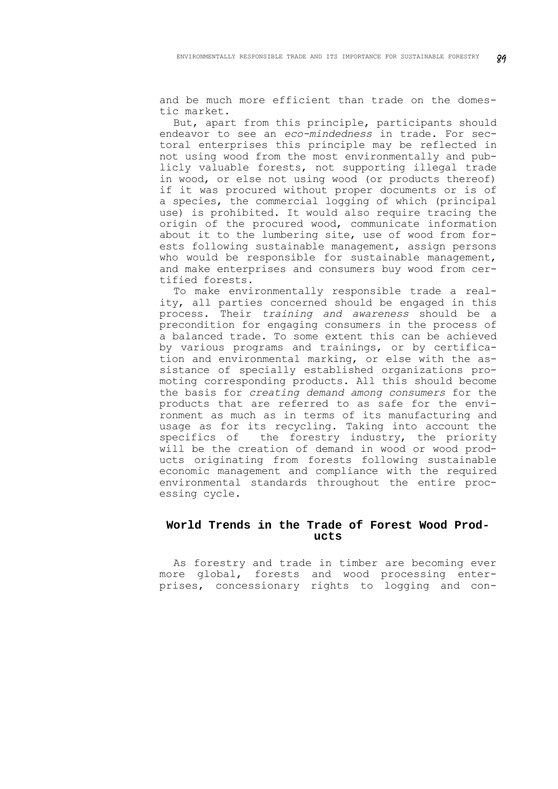and be much more efficient than trade on the domestic market.

But, apart from this principle, participants should endeavor to see an *eco-mindedness* in trade. For sectoral enterprises this principle may be reflected in not using wood from the most environmentally and publicly valuable forests, not supporting illegal trade in wood, or else not using wood (or products thereof) if it was procured without proper documents or is of a species, the commercial logging of which (principal use) is prohibited. It would also require tracing the origin of the procured wood, communicate information about it to the lumbering site, use of wood from forests following sustainable management, assign persons who would be responsible for sustainable management, and make enterprises and consumers buy wood from certified forests.

To make environmentally responsible trade a reality, all parties concerned should be engaged in this process. Their *training and awareness* should be a precondition for engaging consumers in the process of a balanced trade. To some extent this can be achieved by various programs and trainings, or by certification and environmental marking, or else with the assistance of specially established organizations promoting corresponding products. All this should become the basis for *creating demand among consumers* for the products that are referred to as safe for the environment as much as in terms of its manufacturing and usage as for its recycling. Taking into account the<br>specifics of the forestry industry, the priority the forestry industry, the priority will be the creation of demand in wood or wood products originating from forests following sustainable economic management and compliance with the required environmental standards throughout the entire processing cycle.

# **World Trends in the Trade of Forest Wood Products**

As forestry and trade in timber are becoming ever more global, forests and wood processing enterprises, concessionary rights to logging and con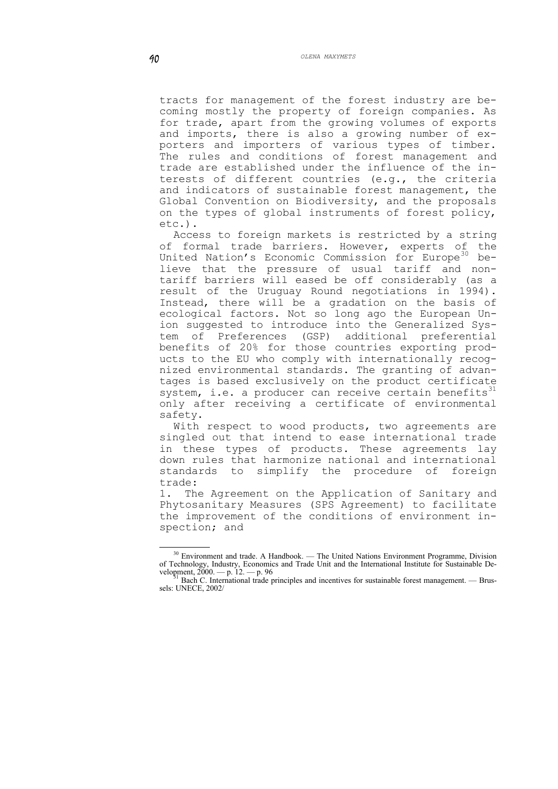tracts for management of the forest industry are becoming mostly the property of foreign companies. As for trade, apart from the growing volumes of exports and imports, there is also a growing number of exporters and importers of various types of timber. The rules and conditions of forest management and trade are established under the influence of the interests of different countries (e.g., the criteria and indicators of sustainable forest management, the Global Convention on Biodiversity, and the proposals on the types of global instruments of forest policy, etc.).

Access to foreign markets is restricted by a string of formal trade barriers. However, experts of the United Nation's Economic Commission for Europe<sup>[30](#page-9-0)</sup> believe that the pressure of usual tariff and nontariff barriers will eased be off considerably (as a result of the Uruguay Round negotiations in 1994). Instead, there will be a gradation on the basis of ecological factors. Not so long ago the European Union suggested to introduce into the Generalized System of Preferences (GSP) additional preferential benefits of 20% for those countries exporting products to the EU who comply with internationally recognized environmental standards. The granting of advantages is based exclusively on the product certificate system, i.e. a producer can receive certain benefits $31$ only after receiving a certificate of environmental safety.

With respect to wood products, two agreements are singled out that intend to ease international trade in these types of products. These agreements lay down rules that harmonize national and international standards to simplify the procedure of foreign trade:

1. The Agreement on the Application of Sanitary and Phytosanitary Measures (SPS Agreement) to facilitate the improvement of the conditions of environment inspection; and

<span id="page-9-0"></span><sup>&</sup>lt;sup>30</sup> Environment and trade. A Handbook. — The United Nations Environment Programme, Division of Technology, Industry, Economics and Trade Unit and the International Institute for Sustainable Development,  $\frac{2000}{1}$  – p. 12. – p. 96<br><sup>31</sup> Bach C. International trade principles and incentives for sustainable forest management. — Brus-

<span id="page-9-1"></span>**S**<sup>1</sup> Bach C. International trade principles and incentives for sustainable forest management. — Brussels: UNECE, 2002/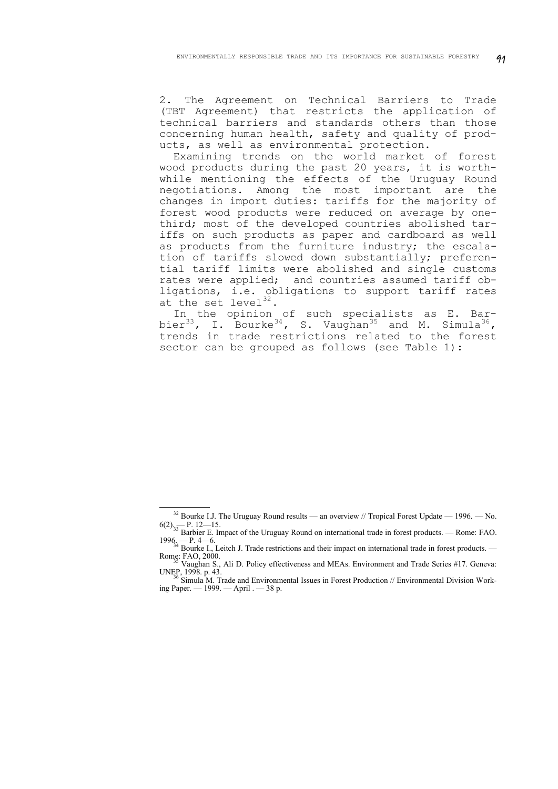2. The Agreement on Technical Barriers to Trade (TBT Agreement) that restricts the application of technical barriers and standards others than those concerning human health, safety and quality of products, as well as environmental protection.

Examining trends on the world market of forest wood products during the past 20 years, it is worthwhile mentioning the effects of the Uruguay Round negotiations. Among the most important are the changes in import duties: tariffs for the majority of forest wood products were reduced on average by onethird; most of the developed countries abolished tariffs on such products as paper and cardboard as well as products from the furniture industry; the escalation of tariffs slowed down substantially; preferential tariff limits were abolished and single customs rates were applied; and countries assumed tariff obligations, i.e. obligations to support tariff rates at the set level<sup>[32](#page-10-0)</sup>.

In the opinion of such specialists as E. Bar-<br>bier<sup>33</sup>, I. Bourke<sup>34</sup>, S. Vaughan<sup>35</sup> and M. Simula<sup>36</sup>,  $\beta$ , I. Bourke<sup>[34](#page-10-2)</sup>, S. Vaughan<sup>[35](#page-10-3)</sup> and M. Simula<sup>[36](#page-10-4)</sup>, trends in trade restrictions related to the forest sector can be grouped as follows (see Table 1):

<span id="page-10-0"></span><sup>&</sup>lt;sup>32</sup> Bourke I.J. The Uruguay Round results — an overview // Tropical Forest Update — 1996. — No.<br>6(2)  $\frac{1}{2}$ – P. 12–15. 6. — P. 12—15.<br>Barbier E. Impact of the Uruguay Round on international trade in forest products. — Rome: FAO.

<span id="page-10-2"></span><span id="page-10-1"></span><sup>1996. —</sup> P. 4—6.  $^{34}$  Bourke I., Leitch J. Trade restrictions and their impact on international trade in forest products. — Romes: FAO, 2000.

<sup>&</sup>lt;sup>35</sup> Vaughan S., Ali D. Policy effectiveness and MEAs. Environment and Trade Series #17. Geneva: UNEP, 1998. p. 43.

<span id="page-10-4"></span><span id="page-10-3"></span> $^6$  Simula M. Trade and Environmental Issues in Forest Production // Environmental Division Working Paper. — 1999. — April . — 38 p.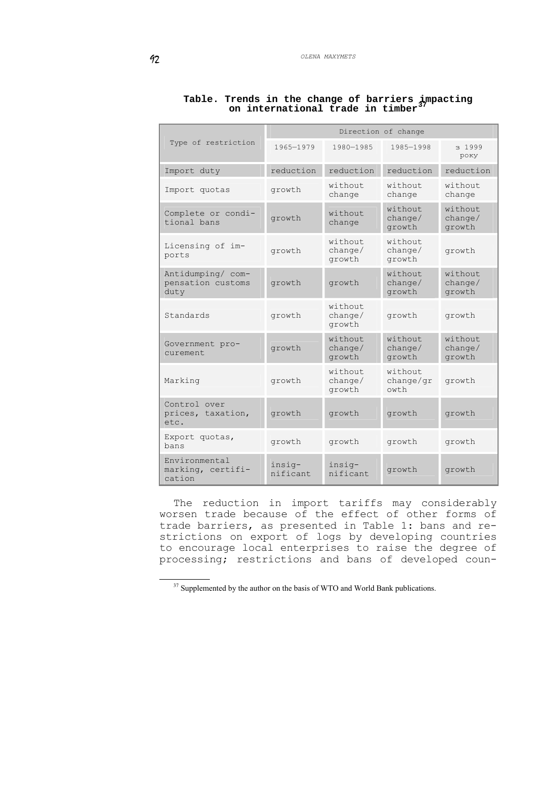|                                                |                        | Direction of change          |                               |                              |  |
|------------------------------------------------|------------------------|------------------------------|-------------------------------|------------------------------|--|
| Type of restriction                            | 1965-1979<br>1980-1985 |                              | 1985-1998                     | 3 1999<br>року               |  |
| Import duty                                    | reduction              | reduction                    | reduction                     | reduction                    |  |
| Import quotas                                  | growth                 | without<br>change            | without<br>change             | without<br>change            |  |
| Complete or condi-<br>tional bans              | growth                 | without<br>change            | without<br>change/<br>growth  | without<br>change/<br>growth |  |
| Licensing of im-<br>ports                      | growth                 | without<br>change/<br>growth | without<br>change/<br>growth  | growth                       |  |
| Antidumping/ com-<br>pensation customs<br>duty | growth                 | growth                       | without<br>change/<br>growth  | without<br>change/<br>growth |  |
| Standards                                      | growth                 | without<br>change/<br>growth | growth                        | growth                       |  |
| Government pro-<br>curement.                   | growth                 | without<br>change/<br>growth | without<br>change/<br>growth  | without<br>change/<br>growth |  |
| Marking                                        | growth                 | without<br>change/<br>growth | without<br>change/qr<br>owt.h | growth                       |  |
| Control over<br>prices, taxation,<br>et.c.     | growth                 | growth                       | growth                        | growth                       |  |
| Export quotas,<br>bans                         | growth                 | growth                       | growth                        | growth                       |  |
| Environmental<br>marking, certifi-<br>cation   | insig-<br>nificant     | insig-<br>nificant           | growth                        | growth                       |  |

**Table. Trends in the change of barriers impacting on international trade in timber[37](#page-11-0)**

The reduction in import tariffs may considerably worsen trade because of the effect of other forms of trade barriers, as presented in Table 1: bans and restrictions on export of logs by developing countries to encourage local enterprises to raise the degree of processing; restrictions and bans of developed coun-

<span id="page-11-0"></span><sup>&</sup>lt;sup>37</sup> Supplemented by the author on the basis of WTO and World Bank publications.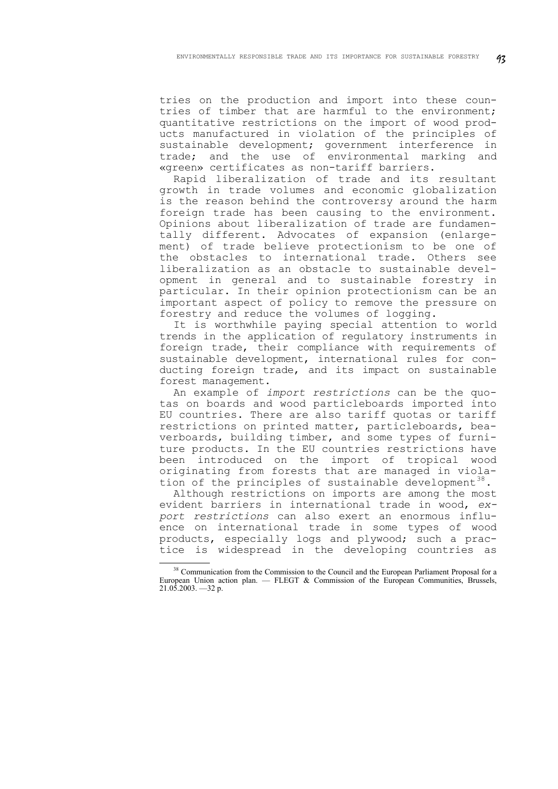tries on the production and import into these countries of timber that are harmful to the environment; quantitative restrictions on the import of wood products manufactured in violation of the principles of sustainable development; government interference in trade; and the use of environmental marking and «green» certificates as non-tariff barriers.

Rapid liberalization of trade and its resultant growth in trade volumes and economic globalization is the reason behind the controversy around the harm foreign trade has been causing to the environment. Opinions about liberalization of trade are fundamentally different. Advocates of expansion (enlargement) of trade believe protectionism to be one of the obstacles to international trade. Others see liberalization as an obstacle to sustainable development in general and to sustainable forestry in particular. In their opinion protectionism can be an important aspect of policy to remove the pressure on forestry and reduce the volumes of logging.

It is worthwhile paying special attention to world trends in the application of regulatory instruments in foreign trade, their compliance with requirements of sustainable development, international rules for conducting foreign trade, and its impact on sustainable forest management.

An example of *import restrictions* can be the quotas on boards and wood particleboards imported into EU countries. There are also tariff quotas or tariff restrictions on printed matter, particleboards, beaverboards, building timber, and some types of furniture products. In the EU countries restrictions have been introduced on the import of tropical wood originating from forests that are managed in viola-tion of the principles of sustainable development<sup>[38](#page-12-0)</sup>.

Although restrictions on imports are among the most evident barriers in international trade in wood, *export restrictions* can also exert an enormous influence on international trade in some types of wood products, especially logs and plywood; such a practice is widespread in the developing countries as

<span id="page-12-0"></span><sup>&</sup>lt;sup>38</sup> Communication from the Commission to the Council and the European Parliament Proposal for a European Union action plan.  $-$  FLEGT & Commission of the European Communities, Brussels, 21.05.2003. —32 p.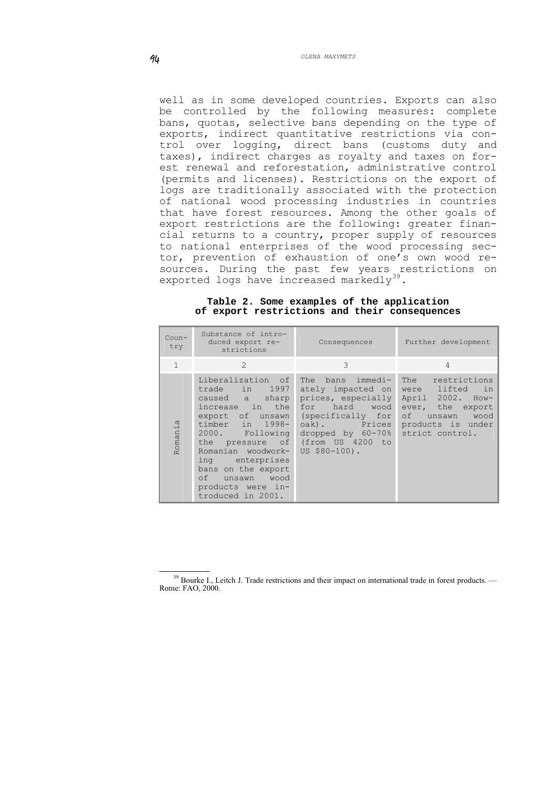well as in some developed countries. Exports can also be controlled by the following measures: complete bans, quotas, selective bans depending on the type of exports, indirect quantitative restrictions via control over logging, direct bans (customs duty and taxes), indirect charges as royalty and taxes on forest renewal and reforestation, administrative control (permits and licenses). Restrictions on the export of logs are traditionally associated with the protection of national wood processing industries in countries that have forest resources. Among the other goals of export restrictions are the following: greater financial returns to a country, proper supply of resources to national enterprises of the wood processing sector, prevention of exhaustion of one's own wood resources. During the past few years restrictions on exported logs have increased markedly<sup>[39](#page-13-0)</sup>.

|  |  |  | Table 2. Some examples of the application     |
|--|--|--|-----------------------------------------------|
|  |  |  | of export restrictions and their consequences |

| $Coun-$<br>try | Substance of intro-<br>duced export re-<br>strictions                                                                                                                                                                                                                      | Consequences                                                                                                                                              | Further development                                                                                                                                   |  |  |
|----------------|----------------------------------------------------------------------------------------------------------------------------------------------------------------------------------------------------------------------------------------------------------------------------|-----------------------------------------------------------------------------------------------------------------------------------------------------------|-------------------------------------------------------------------------------------------------------------------------------------------------------|--|--|
| $\mathbf{1}$   | $\mathcal{L}$                                                                                                                                                                                                                                                              | 3                                                                                                                                                         | 4                                                                                                                                                     |  |  |
| Romania        | Liberalization of<br>trade in 1997<br>caused a sharp<br>increase in the<br>export of unsawn<br>timber in 1998-<br>2000. Following<br>Romanian woodwork- US \$80-100).<br>ing enterprises<br>bans on the export<br>of unsawn wood<br>products were in-<br>troduced in 2001. | ately impacted on<br>prices, especially<br>for hard wood<br>(specifically for<br>oak). Prices<br>dropped by $60-70$ %<br>the pressure of (from US 4200 to | The bans immedi- The restrictions<br>were lifted in<br>April 2002. How-<br>ever, the export<br>of unsawn wood<br>products is under<br>strict control. |  |  |

<span id="page-13-0"></span><sup>&</sup>lt;sup>39</sup> Bourke I., Leitch J. Trade restrictions and their impact on international trade in forest products. — Rome: FAO, 2000.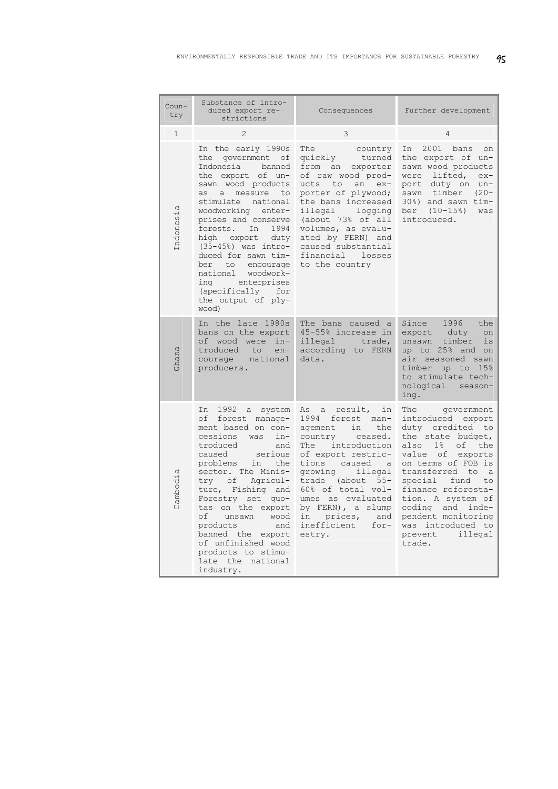| Coun-<br>try  | Substance of intro-<br>duced export re-<br>strictions                                                                                                                                                                                                                                                                                                                                                                   | Consequences                                                                                                                                                                                                                                                                                                                            |                                                                                                                                                                                                                                                                                                                                                       |
|---------------|-------------------------------------------------------------------------------------------------------------------------------------------------------------------------------------------------------------------------------------------------------------------------------------------------------------------------------------------------------------------------------------------------------------------------|-----------------------------------------------------------------------------------------------------------------------------------------------------------------------------------------------------------------------------------------------------------------------------------------------------------------------------------------|-------------------------------------------------------------------------------------------------------------------------------------------------------------------------------------------------------------------------------------------------------------------------------------------------------------------------------------------------------|
| $\mathbf{1}$  | $\mathbf{2}$                                                                                                                                                                                                                                                                                                                                                                                                            | 3                                                                                                                                                                                                                                                                                                                                       | 4                                                                                                                                                                                                                                                                                                                                                     |
| Φ<br>Indonesi | In the early 1990s<br>the government<br>оf<br>Indonesia<br>banned<br>the export of un-<br>sawn wood products<br>measure<br>as a<br>to<br>stimulate national<br>woodworking enter-<br>prises and conserve<br>forests. In 1994<br>high export duty<br>$(35-45%)$ was intro-<br>duced for sawn tim-<br>ber<br>to<br>encourage<br>national woodwork-<br>ing enterprises<br>(specifically for<br>the output of ply-<br>wood) | The<br>country<br>turned<br>quickly<br>from<br>an<br>exporter<br>of raw wood prod-<br>an ex-<br>ucts to<br>porter of plywood;<br>the bans increased<br>illegal<br>logging<br>(about 73% of all<br>volumes, as evalu-<br>ated by FERN) and<br>caused substantial<br>financial losses<br>to the country                                   | 2001 bans<br>In<br>on<br>the export of un-<br>sawn wood products<br>lifted,<br>were<br>$ex-$<br>duty on<br>port<br>$un-$<br>sawn timber<br>$(20 -$<br>30%) and sawn tim-<br>ber (10-15%)<br>was<br>introduced.                                                                                                                                        |
| shana         | In the late 1980s<br>bans on the export<br>of wood were<br>in-<br>troduced<br>to<br>$en-$<br>courage<br>national<br>producers.                                                                                                                                                                                                                                                                                          | The bans caused a<br>45-55% increase in<br>illegal trade,<br>according to FERN<br>data.                                                                                                                                                                                                                                                 | Since<br>1996<br>the<br>export<br>duty<br>on<br>timber<br>is<br>unsawn<br>up to 25% and<br>on<br>air seasoned<br>sawn<br>timber<br>15%<br>up to<br>to stimulate tech-<br>nological<br>season-<br>ing.                                                                                                                                                 |
| Cambodia      | 1992 a<br>In<br>system<br>οf<br>forest manage-<br>ment based on con-<br>cessions<br>was<br>in-<br>troduced<br>and<br>serious<br>caused<br>problems<br>in<br>the<br>sector. The Minis-<br>try of Agricul-<br>ture, Fishing and<br>Forestry set quo-<br>on the export<br>tas<br>wood<br>of unsawn<br>products<br>and<br>banned the export<br>of unfinished wood<br>products to stimu-<br>late the national<br>industry.   | result,<br>in<br>As<br>a<br>1994<br>forest<br>man-<br>aqement<br>in<br>the<br>country<br>ceased.<br>introduction<br>The<br>of export restric-<br>tions caused a<br>growing<br>illegal<br>$55 -$<br>trade (about<br>60% of total vol-<br>umes as evaluated<br>by FERN), a slump<br>prices,<br>in<br>and<br>inefficient<br>for-<br>estry. | The<br>government<br>introduced export<br>duty credited to<br>the state budget,<br>$1\%$<br>of<br>also<br>the<br>value of exports<br>on terms of FOB is<br>transferred to<br>$\alpha$<br>special fund<br>to<br>finance reforesta-<br>tion. A system of<br>coding and inde-<br>pendent monitoring<br>was introduced to<br>illegal<br>prevent<br>trade. |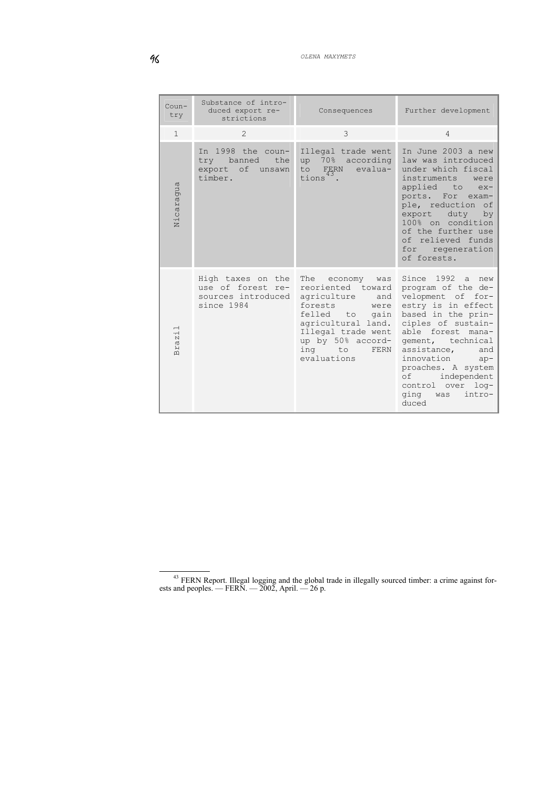| $Coun-$<br>try                                                              | Substance of intro-<br>duced export re-<br>strictions                      | Consequences                                                                                                                                                                                      | Further development                                                                                                                                                                                                                                                                                                       |
|-----------------------------------------------------------------------------|----------------------------------------------------------------------------|---------------------------------------------------------------------------------------------------------------------------------------------------------------------------------------------------|---------------------------------------------------------------------------------------------------------------------------------------------------------------------------------------------------------------------------------------------------------------------------------------------------------------------------|
| $\mathbf{1}$                                                                | $\mathcal{L}$                                                              | 3                                                                                                                                                                                                 | $\overline{4}$                                                                                                                                                                                                                                                                                                            |
| Nicaragua                                                                   | In 1998 the coun-<br>try banned<br>the<br>export of unsawn<br>timber.      | Illegal trade went<br>up 70% according<br>evalua-<br>to FERN<br>tions <sup>"</sup> .                                                                                                              | In June 2003 a new<br>law was introduced<br>under which fiscal<br>instruments<br>were<br>applied to<br>$ex-$<br>ports. For<br>$exam-$<br>ple, reduction of<br>export duty<br>by<br>100% on condition<br>of the further use<br>of relieved funds<br>for regeneration<br>of forests.                                        |
| $\overline{\phantom{0}}$<br>$\cdot$ H<br>$\mathbb N$<br><b>LQ</b><br>山<br>丘 | High taxes on the<br>use of forest re-<br>sources introduced<br>since 1984 | The economy was<br>reoriented toward<br>agriculture<br>and<br>forests<br>were<br>felled to gain<br>agricultural land.<br>Illegal trade went<br>up by 50% accord-<br>ing to<br>FERN<br>evaluations | Since 1992 a new<br>program of the de-<br>velopment of<br>for-<br>estry is in effect<br>based in the prin-<br>ciples of sustain-<br>able forest mana-<br>gement, technical<br>assistance, and<br>innovation<br>$ap-$<br>proaches. A system<br>independent<br>of<br>control over<br>$1$ oq-<br>ging was<br>intro-<br>duced |

<span id="page-15-0"></span><sup>&</sup>lt;sup>43</sup> FERN Report. Illegal logging and the global trade in illegally sourced timber: a crime against forests and peoples. — FERN. —  $2002$ , April. —  $26$  p.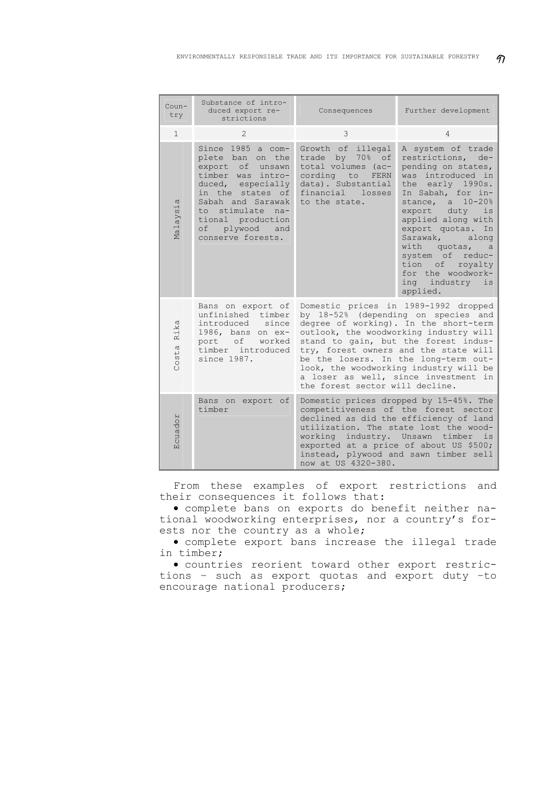| $Coun-$<br>try | Substance of intro-<br>duced export re-<br>strictions                                                                                                                                                                              | Consequences                                                                                                                                   | Further development                                                                                                                                                                                                                                                                                                                                                       |
|----------------|------------------------------------------------------------------------------------------------------------------------------------------------------------------------------------------------------------------------------------|------------------------------------------------------------------------------------------------------------------------------------------------|---------------------------------------------------------------------------------------------------------------------------------------------------------------------------------------------------------------------------------------------------------------------------------------------------------------------------------------------------------------------------|
| $\mathbf{1}$   | $\mathfrak{D}$                                                                                                                                                                                                                     | 3                                                                                                                                              | 4                                                                                                                                                                                                                                                                                                                                                                         |
| Malaysia       | Since 1985 a com-<br>plete ban<br>on the<br>export<br>of unsawn<br>timber was intro-<br>duced, especially<br>in the states of<br>Sabah and Sarawak<br>to stimulate na-<br>tional production<br>of plywood and<br>conserve forests. | Growth of illegal<br>trade by<br>70% of<br>total volumes (ac-<br>cording to FERN<br>data). Substantial<br>financial<br>losses<br>to the state. | A system of trade<br>restrictions,<br>$de-$<br>pending on states,<br>was introduced in<br>the early 1990s.<br>In Sabah, for in-<br>stance, a<br>$10 - 20%$<br>export duty<br>is<br>applied along with<br>export quotas.<br>In<br>Sarawak,<br>along<br>with quotas,<br>a<br>system of reduc-<br>tion of royalty<br>for the woodwork-<br>ing<br>industry<br>is<br>applied.  |
| Rika<br>Costa  | Bans on export of<br>unfinished timber<br>introduced since<br>1986, bans on ex-<br>port of<br>worked<br>timber introduced<br>since 1987.                                                                                           | the forest sector will decline.                                                                                                                | Domestic prices in 1989-1992 dropped<br>by 18-52% (depending on species and<br>degree of working). In the short-term<br>outlook, the woodworking industry will<br>stand to gain, but the forest indus-<br>try, forest owners and the state will<br>be the losers. In the long-term out-<br>look, the woodworking industry will be<br>a loser as well, since investment in |
| Ecuador        | Bans on export of<br>timber                                                                                                                                                                                                        | working industry. Unsawn timber<br>now at US 4320-380.                                                                                         | Domestic prices dropped by 15-45%. The<br>competitiveness of the forest sector<br>declined as did the efficiency of land<br>utilization. The state lost the wood-<br>is<br>exported at a price of about US \$500;<br>instead, plywood and sawn timber sell                                                                                                                |

From these examples of export restrictions and their consequences it follows that:

• complete bans on exports do benefit neither national woodworking enterprises, nor a country's forests nor the country as a whole;

• complete export bans increase the illegal trade in timber;

• countries reorient toward other export restrictions – such as export quotas and export duty –to encourage national producers;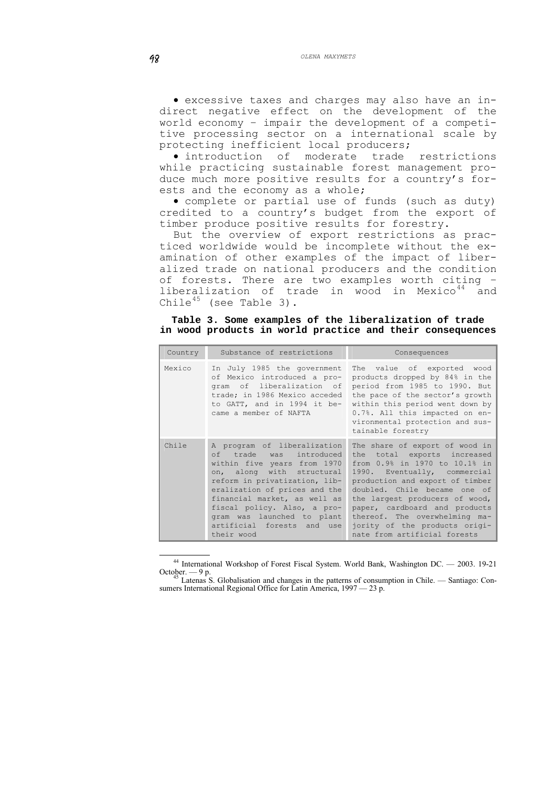• excessive taxes and charges may also have an indirect negative effect on the development of the world economy – impair the development of a competitive processing sector on a international scale by protecting inefficient local producers;

• introduction of moderate trade restrictions while practicing sustainable forest management produce much more positive results for a country's forests and the economy as a whole;

• complete or partial use of funds (such as duty) credited to a country's budget from the export of timber produce positive results for forestry.

But the overview of export restrictions as practiced worldwide would be incomplete without the examination of other examples of the impact of liberalized trade on national producers and the condition of forests. There are two examples worth citing – liberalization of trade in wood in Mexico $44$  and Chile<sup>[45](#page-17-1)</sup> (see Table 3).

**Table 3. Some examples of the liberalization of trade in wood products in world practice and their consequences** 

| Country | Substance of restrictions                                                                                                                                                                                                                                                                                                     | Consequences                                                                                                                                                                                                                                                                                                                                                           |
|---------|-------------------------------------------------------------------------------------------------------------------------------------------------------------------------------------------------------------------------------------------------------------------------------------------------------------------------------|------------------------------------------------------------------------------------------------------------------------------------------------------------------------------------------------------------------------------------------------------------------------------------------------------------------------------------------------------------------------|
| Mexico  | In July 1985 the government<br>of Mexico introduced a pro-<br>gram of liberalization of<br>trade; in 1986 Mexico acceded<br>to GATT, and in 1994 it be-<br>came a member of NAFTA                                                                                                                                             | The value of exported wood<br>products dropped by 84% in the<br>period from 1985 to 1990. But<br>the pace of the sector's growth<br>within this period went down by<br>0.7%. All this impacted on en-<br>vironmental protection and sus-<br>tainable forestry                                                                                                          |
| Chile   | A program of liberalization<br>of trade was introduced<br>within five years from 1970<br>on, along with structural<br>reform in privatization, lib-<br>eralization of prices and the<br>financial market, as well as<br>fiscal policy. Also, a pro-<br>gram was launched to plant<br>artificial forests and use<br>their wood | The share of export of wood in<br>the total exports increased<br>from 0.9% in 1970 to 10.1% in<br>1990. Eventually, commercial<br>production and export of timber<br>doubled. Chile became one of<br>the largest producers of wood,<br>paper, cardboard and products<br>thereof. The overwhelming ma-<br>jority of the products origi-<br>nate from artificial forests |

 <sup>44</sup> International Workshop of Forest Fiscal System. World Bank, Washington DC. — 2003. 19-21

<span id="page-17-1"></span><span id="page-17-0"></span>October. — 9 p.<br><sup>45</sup> Latenas S. Globalisation and changes in the patterns of consumption in Chile. — Santiago: Consumers International Regional Office for Latin America, 1997 — 23 р.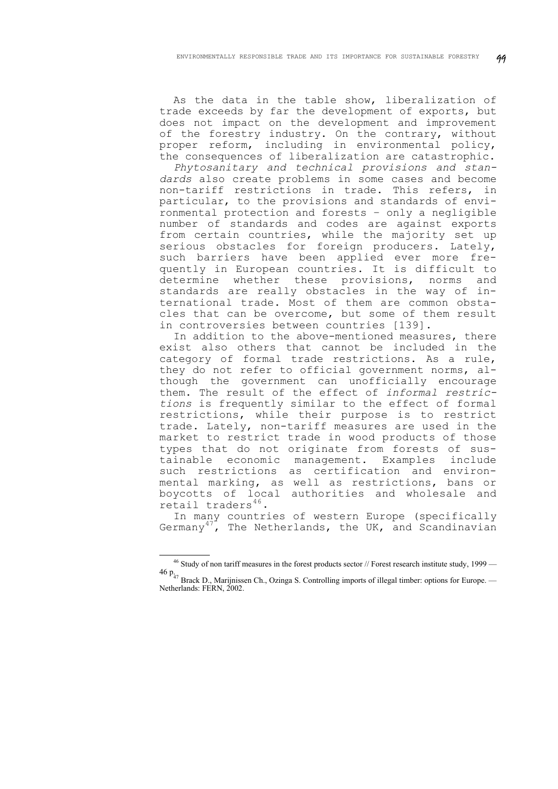As the data in the table show, liberalization of trade exceeds by far the development of exports, but does not impact on the development and improvement of the forestry industry. On the contrary, without proper reform, including in environmental policy, the consequences of liberalization are catastrophic.

*Phytosanitary and technical provisions and standards* also create problems in some cases and become non-tariff restrictions in trade. This refers, in particular, to the provisions and standards of environmental protection and forests – only a negligible number of standards and codes are against exports from certain countries, while the majority set up serious obstacles for foreign producers. Lately, such barriers have been applied ever more frequently in European countries. It is difficult to determine whether these provisions, norms and standards are really obstacles in the way of international trade. Most of them are common obstacles that can be overcome, but some of them result in controversies between countries [139].

In addition to the above-mentioned measures, there exist also others that cannot be included in the category of formal trade restrictions. As a rule, they do not refer to official government norms, although the government can unofficially encourage them. The result of the effect of *informal restrictions* is frequently similar to the effect of formal restrictions, while their purpose is to restrict trade. Lately, non-tariff measures are used in the market to restrict trade in wood products of those types that do not originate from forests of sustainable economic management. Examples include such restrictions as certification and environmental marking, as well as restrictions, bans or boycotts of local authorities and wholesale and retail traders $46$ .

In many countries of western Europe (specifically Germany<sup>[47](#page-18-1)</sup>, The Netherlands, the UK, and Scandinavian

 $46$  Study of non tariff measures in the forest products sector // Forest research institute study, 1999 — 46  $p_{47}$  Brack D., Marijnissen Ch., Ozinga S. Controlling imports of illegal timber: options for Europe. —

<span id="page-18-1"></span><span id="page-18-0"></span>Netherlands: FERN, 2002.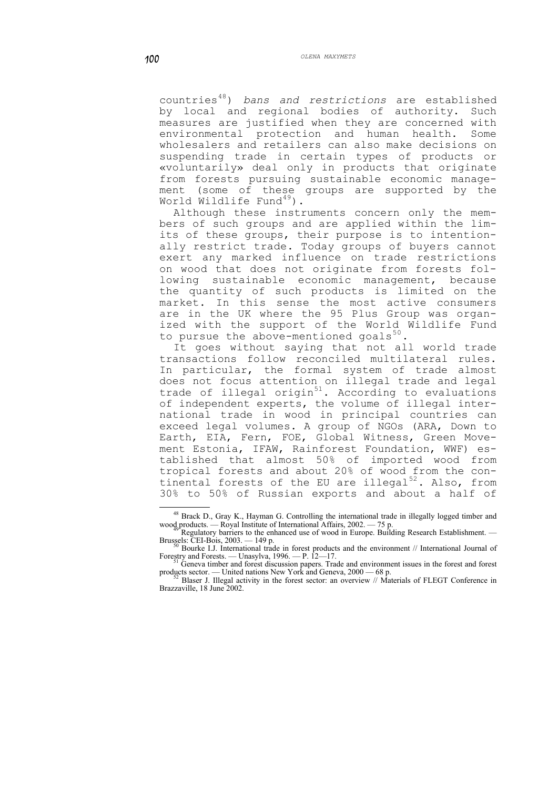countries[48](#page-19-0)) *bans and restrictions* are established by local and regional bodies of authority. Such measures are justified when they are concerned with environmental protection and human health. Some wholesalers and retailers can also make decisions on suspending trade in certain types of products or «voluntarily» deal only in products that originate from forests pursuing sustainable economic management (some of these groups are supported by the World Wildlife Fund $49$ ).

Although these instruments concern only the members of such groups and are applied within the limits of these groups, their purpose is to intentionally restrict trade. Today groups of buyers cannot exert any marked influence on trade restrictions on wood that does not originate from forests following sustainable economic management, because the quantity of such products is limited on the market. In this sense the most active consumers are in the UK where the 95 Plus Group was organized with the support of the World Wildlife Fund to pursue the above-mentioned goals $^{50}$  $^{50}$  $^{50}$ .

It goes without saying that not all world trade transactions follow reconciled multilateral rules. In particular, the formal system of trade almost does not focus attention on illegal trade and legal trade of illegal origin<sup>[51](#page-19-3)</sup>. According to evaluations of independent experts, the volume of illegal international trade in wood in principal countries can exceed legal volumes. A group of NGOs (ARA, Down to Earth, EIA, Fern, FOE, Global Witness, Green Movement Estonia, IFAW, Rainforest Foundation, WWF) established that almost 50% of imported wood from tropical forests and about 20% of wood from the con-tinental forests of the EU are illegal<sup>[52](#page-19-4)</sup>. Also, from 30% to 50% of Russian exports and about a half of

<sup>&</sup>lt;sup>48</sup> Brack D., Gray K., Hayman G. Controlling the international trade in illegally logged timber and wood products. — Royal Institute of International Affairs, 2002. — 75 p.<br><sup>49</sup> Regulatory barriers to the enhanced use of wood in Europe. Building Research Establishment. —

<span id="page-19-1"></span><span id="page-19-0"></span>Brussels: CEI-Bois, 2003. — 149 p. 50 Bourke I.J. International trade in forest products and the environment // International Journal of  $^{50}$  Bourke I.J. International trade in forest products and the environment // Int

<span id="page-19-2"></span>Forestry and Forests. — Unasylva, 1996. — P. 12—17.<br>
S<sup>1</sup> Geneva timber and forest discussion papers. Trade and environment issues in the forest and forest<br>
products sector. — United nations New York and Geneva, 2000 — 68

<span id="page-19-4"></span><span id="page-19-3"></span>products sector. A product and Equipment Contract and Geneva, 2000 and Geneva, 2000  $\mu$  Materials of FLEGT Conference in Brazzaville, 18 June 2002.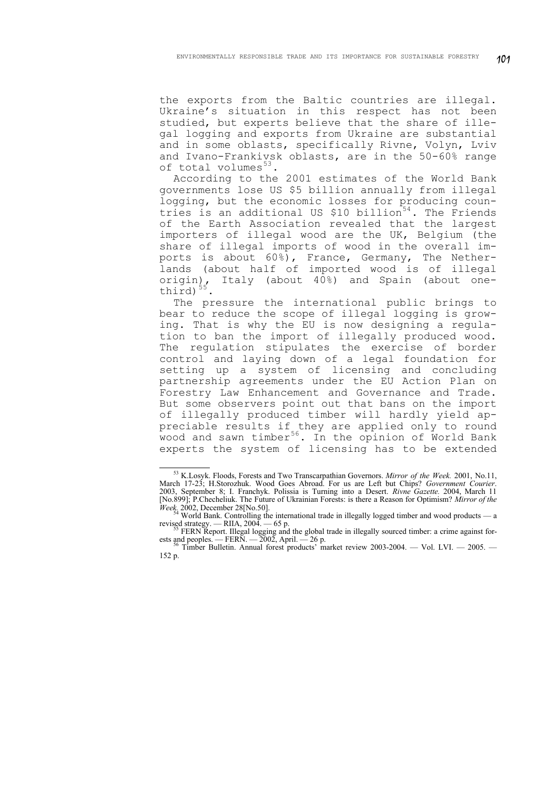the exports from the Baltic countries are illegal. Ukraine's situation in this respect has not been studied, but experts believe that the share of illegal logging and exports from Ukraine are substantial and in some oblasts, specifically Rivne, Volyn, Lviv and Ivano-Frankivsk oblasts, are in the 50-60% range of total volumes $^{53}$  $^{53}$  $^{53}$ .

According to the 2001 estimates of the World Bank governments lose US \$5 billion annually from illegal logging, but the economic losses for producing coun-tries is an additional US \$10 billion<sup>[54](#page-20-1)</sup>. The Friends of the Earth Association revealed that the largest importers of illegal wood are the UK, Belgium (the share of illegal imports of wood in the overall imports is about 60%), France, Germany, The Netherlands (about half of imported wood is of illegal Italy (about 40%) and Spain (about oneorigin),<br>third) $55$ .

The pressure the international public brings to bear to reduce the scope of illegal logging is growing. That is why the EU is now designing a regulation to ban the import of illegally produced wood. The regulation stipulates the exercise of border control and laying down of a legal foundation for setting up a system of licensing and concluding partnership agreements under the EU Action Plan on Forestry Law Enhancement and Governance and Trade. But some observers point out that bans on the import of illegally produced timber will hardly yield appreciable results if they are applied only to round wood and sawn timber<sup>[56](#page-20-3)</sup>. In the opinion of World Bank experts the system of licensing has to be extended

<span id="page-20-0"></span> $\overline{a}$ <sup>53</sup> K.Losyk. Floods, Forests and Two Transcarpathian Governors. *Mirror of the Week.* 2001, No.11, March 17-23; H.Storozhuk. Wood Goes Abroad. For us are Left but Chips? *Government Courier*. 2003, September 8; I. Franchyk. Polissia is Turning into a Desert. *Rivne Gazette.* 2004, March 11 [No.899]; P.Checheliuk. The Future of Ukrainian Forests: is there a Reason for Optimism? *Mirror of the Week*. 2002, December 28[No.50].<br><sup>54</sup> World Bank. Controlling the international trade in illegally logged timber and wood products — a

revised strategy. — RIIA, 2004. — 65 p.

FERN Report. Illegal logging and the global trade in illegally sourced timber: a crime against forests and peoples. — FERN. —  $\overline{2002}$ , April. — 26 p.<br><sup>56</sup> Timber Bulletin. Annual forest products' market review 2003-2004. — Vol. LVI. — 2005. —

<span id="page-20-3"></span><span id="page-20-2"></span><span id="page-20-1"></span><sup>152</sup> p.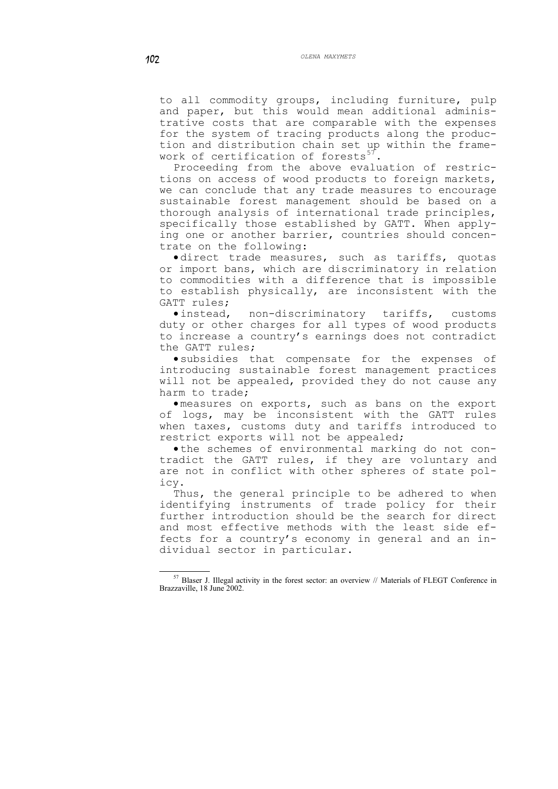to all commodity groups, including furniture, pulp and paper, but this would mean additional administrative costs that are comparable with the expenses for the system of tracing products along the production and distribution chain set up within the frame-work of certification of forests<sup>[57](#page-21-0)</sup>

Proceeding from the above evaluation of restrictions on access of wood products to foreign markets, we can conclude that any trade measures to encourage sustainable forest management should be based on a thorough analysis of international trade principles, specifically those established by GATT. When applying one or another barrier, countries should concentrate on the following:

• direct trade measures, such as tariffs, quotas or import bans, which are discriminatory in relation to commodities with a difference that is impossible to establish physically, are inconsistent with the GATT rules;

• instead, non-discriminatory tariffs, customs duty or other charges for all types of wood products to increase a country's earnings does not contradict the GATT rules;

• subsidies that compensate for the expenses of introducing sustainable forest management practices will not be appealed, provided they do not cause any harm to trade;

• measures on exports, such as bans on the export of logs, may be inconsistent with the GATT rules when taxes, customs duty and tariffs introduced to restrict exports will not be appealed;

• the schemes of environmental marking do not contradict the GATT rules, if they are voluntary and are not in conflict with other spheres of state policy.

Thus, the general principle to be adhered to when identifying instruments of trade policy for their further introduction should be the search for direct and most effective methods with the least side effects for a country's economy in general and an individual sector in particular.

<u>.</u>

<span id="page-21-0"></span><sup>57</sup> Blaser J. Illegal activity in the forest sector: an overview // Materials of FLEGT Conference in Brazzaville, 18 June 2002.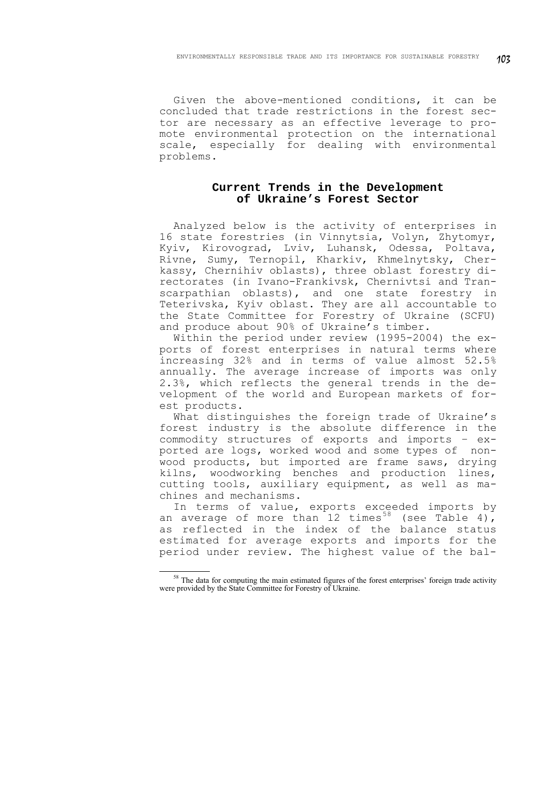Given the above-mentioned conditions, it can be concluded that trade restrictions in the forest sector are necessary as an effective leverage to promote environmental protection on the international scale, especially for dealing with environmental problems.

# **Current Trends in the Development of Ukraine's Forest Sector**

Analyzed below is the activity of enterprises in 16 state forestries (in Vinnytsia, Volyn, Zhytomyr, Kyiv, Kirovograd, Lviv, Luhansk, Odessa, Poltava, Rivne, Sumy, Ternopil, Kharkiv, Khmelnytsky, Cherkassy, Chernihiv oblasts), three oblast forestry directorates (in Ivano-Frankivsk, Chernivtsi and Transcarpathian oblasts), and one state forestry in Teterivska, Kyiv oblast. They are all accountable to the State Committee for Forestry of Ukraine (SCFU) and produce about 90% of Ukraine's timber.

Within the period under review (1995-2004) the exports of forest enterprises in natural terms where increasing 32% and in terms of value almost 52.5% annually. The average increase of imports was only 2.3%, which reflects the general trends in the development of the world and European markets of forest products.

What distinguishes the foreign trade of Ukraine's forest industry is the absolute difference in the commodity structures of exports and imports – exported are logs, worked wood and some types of nonwood products, but imported are frame saws, drying kilns, woodworking benches and production lines, cutting tools, auxiliary equipment, as well as machines and mechanisms.

In terms of value, exports exceeded imports by an average of more than 12 times<sup>[58](#page-22-0)</sup> (see Table 4), as reflected in the index of the balance status estimated for average exports and imports for the period under review. The highest value of the bal-

<span id="page-22-0"></span><sup>&</sup>lt;u>.</u> <sup>58</sup> The data for computing the main estimated figures of the forest enterprises' foreign trade activity were provided by the State Committee for Forestry of Ukraine.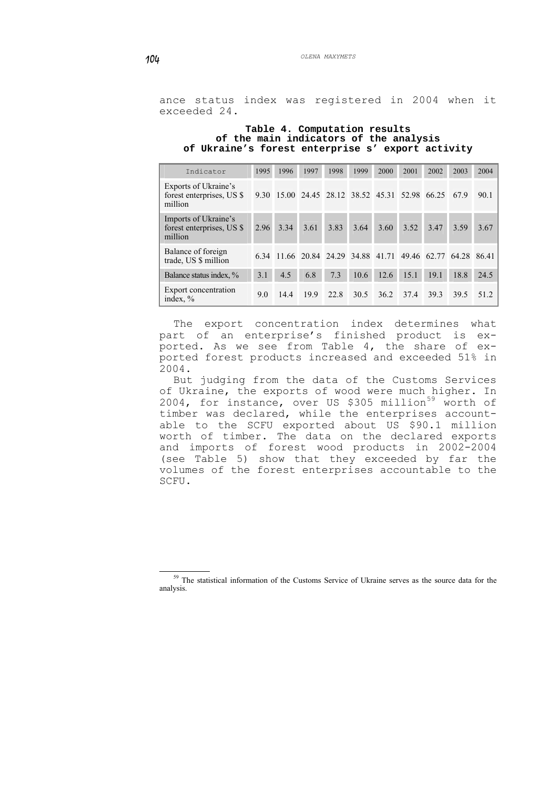ance status index was registered in 2004 when it exceeded 24.

#### **Table 4. Computation results of the main indicators of the analysis of Ukraine's forest enterprise s' export activity**

| Indicator                                                    | 1995 | 1996 | 1997 | 1998 | 1999 | 2000 | 2001                                      | 2002                                           | 2003  | 2004  |
|--------------------------------------------------------------|------|------|------|------|------|------|-------------------------------------------|------------------------------------------------|-------|-------|
| Exports of Ukraine's<br>forest enterprises, US \$<br>million | 9.30 |      |      |      |      |      | 15.00 24.45 28.12 38.52 45.31 52.98 66.25 |                                                | 679   | 90.1  |
| Imports of Ukraine's<br>forest enterprises, US \$<br>million | 2.96 | 3.34 | 3.61 | 3.83 | 3.64 | 3.60 | 3.52                                      | 3.47                                           | 3.59  | 3.67  |
| Balance of foreign<br>trade, US \$ million                   |      |      |      |      |      |      |                                           | 6.34 11.66 20.84 24.29 34.88 41.71 49.46 62.77 | 64.28 | 86.41 |
| Balance status index, %                                      | 3.1  | 4.5  | 6.8  | 7.3  | 10.6 | 12.6 | 15.1                                      | 19.1                                           | 18.8  | 24.5  |
| Export concentration<br>index, $\%$                          | 9.0  | 144  | 199  | 22.8 | 30.5 | 36.2 | 37.4                                      | 39.3                                           | 39.5  | 51 2  |

The export concentration index determines what part of an enterprise's finished product is exported. As we see from Table 4, the share of exported forest products increased and exceeded 51% in 2004.

But judging from the data of the Customs Services of Ukraine, the exports of wood were much higher. In 2004, for instance, over US \$305 million<sup>[59](#page-23-0)</sup> worth of timber was declared, while the enterprises accountable to the SCFU exported about US \$90.1 million worth of timber. The data on the declared exports and imports of forest wood products in 2002-2004 (see Table 5) show that they exceeded by far the volumes of the forest enterprises accountable to the SCFU.

<span id="page-23-0"></span><sup>&</sup>lt;sup>59</sup> The statistical information of the Customs Service of Ukraine serves as the source data for the analysis.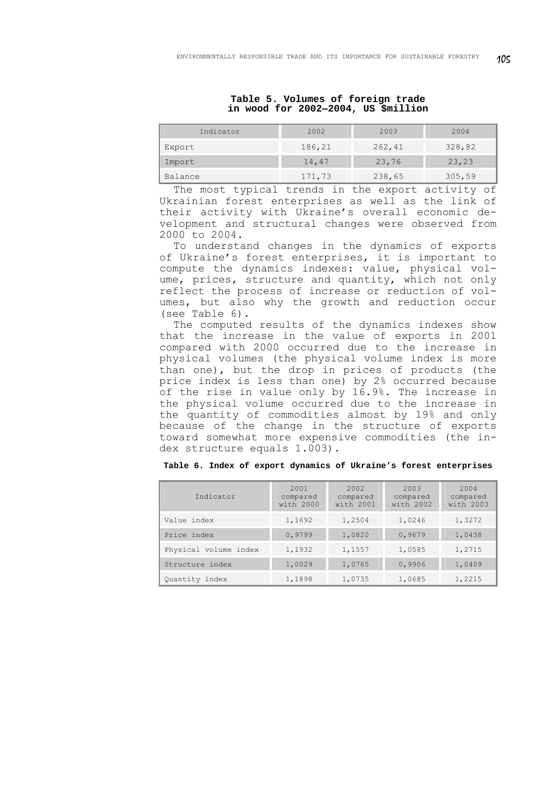| Indicator | 2002   | 2003   | 2004   |
|-----------|--------|--------|--------|
| Export    | 186,21 | 262,41 | 328,82 |
| Import    | 14,47  | 23,76  | 23,23  |
| Balance   | 171,73 | 238,65 | 305,59 |

**Table 5. Volumes of foreign trade in wood for 2002—2004, US \$million** 

The most typical trends in the export activity of Ukrainian forest enterprises as well as the link of their activity with Ukraine's overall economic development and structural changes were observed from 2000 to 2004.

To understand changes in the dynamics of exports of Ukraine's forest enterprises, it is important to compute the dynamics indexes: value, physical volume, prices, structure and quantity, which not only reflect the process of increase or reduction of volumes, but also why the growth and reduction occur (see Table 6).

The computed results of the dynamics indexes show that the increase in the value of exports in 2001 compared with 2000 occurred due to the increase in physical volumes (the physical volume index is more than one), but the drop in prices of products (the price index is less than one) by 2% occurred because of the rise in value only by 16.9%. The increase in the physical volume occurred due to the increase in the quantity of commodities almost by 19% and only because of the change in the structure of exports toward somewhat more expensive commodities (the index structure equals 1.003).

| Indicator             | 2001<br>compared<br>with 2000 | 2002<br>compared<br>with 2001 | 2003<br>compared<br>with 2002 | 2004<br>compared<br>with 2003 |
|-----------------------|-------------------------------|-------------------------------|-------------------------------|-------------------------------|
| Value index           | 1,1692                        | 1,2504                        | 1,0246                        | 1,3272                        |
| Price index           | 0,9799                        | 1,0820                        | 0,9679                        | 1,0438                        |
| Physical volume index | 1,1932                        | 1,1557                        | 1,0585                        | 1,2715                        |
| Structure index       | 1,0029                        | 1,0765                        | 0,9906                        | 1,0409                        |
| Quantity index        | 1,1898                        | 1,0735                        | 1,0685                        | 1,2215                        |

**Table 6. Index of export dynamics of Ukraine's forest enterprises**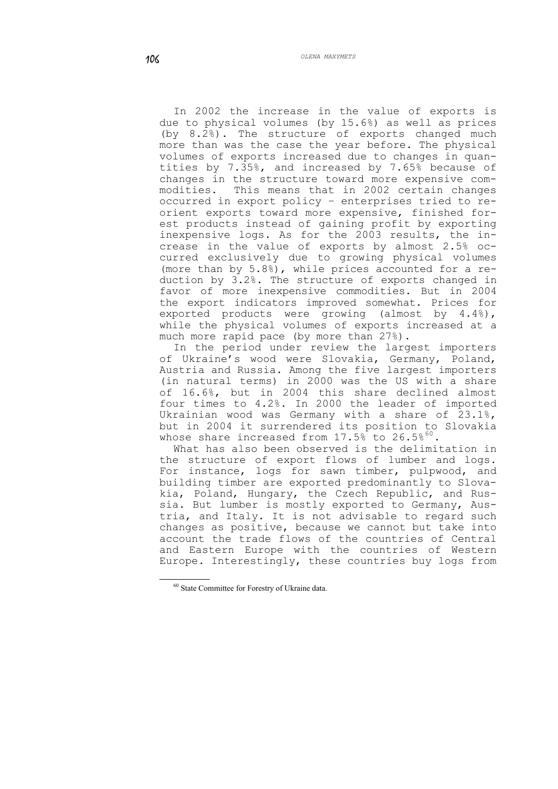In 2002 the increase in the value of exports is due to physical volumes (by 15.6%) as well as prices (by 8.2%). The structure of exports changed much more than was the case the year before. The physical volumes of exports increased due to changes in quantities by 7.35%, and increased by 7.65% because of changes in the structure toward more expensive commodities. This means that in 2002 certain changes occurred in export policy – enterprises tried to reorient exports toward more expensive, finished forest products instead of gaining profit by exporting inexpensive logs. As for the 2003 results, the increase in the value of exports by almost 2.5% occurred exclusively due to growing physical volumes (more than by 5.8%), while prices accounted for a reduction by 3.2%. The structure of exports changed in favor of more inexpensive commodities. But in 2004 the export indicators improved somewhat. Prices for exported products were growing (almost by 4.4%), while the physical volumes of exports increased at a much more rapid pace (by more than 27%).

In the period under review the largest importers of Ukraine's wood were Slovakia, Germany, Poland, Austria and Russia. Among the five largest importers (in natural terms) in 2000 was the US with a share of 16.6%, but in 2004 this share declined almost four times to 4.2%. In 2000 the leader of imported Ukrainian wood was Germany with a share of 23.1%, but in 2004 it surrendered its position to Slovakia whose share increased from  $17.5\%$  to  $26.5\%$ <sup>[60](#page-25-0)</sup>.

What has also been observed is the delimitation in the structure of export flows of lumber and logs. For instance, logs for sawn timber, pulpwood, and building timber are exported predominantly to Slovakia, Poland, Hungary, the Czech Republic, and Russia. But lumber is mostly exported to Germany, Austria, and Italy. It is not advisable to regard such changes as positive, because we cannot but take into account the trade flows of the countries of Central and Eastern Europe with the countries of Western Europe. Interestingly, these countries buy logs from

<span id="page-25-0"></span><sup>60</sup> State Committee for Forestry of Ukraine data.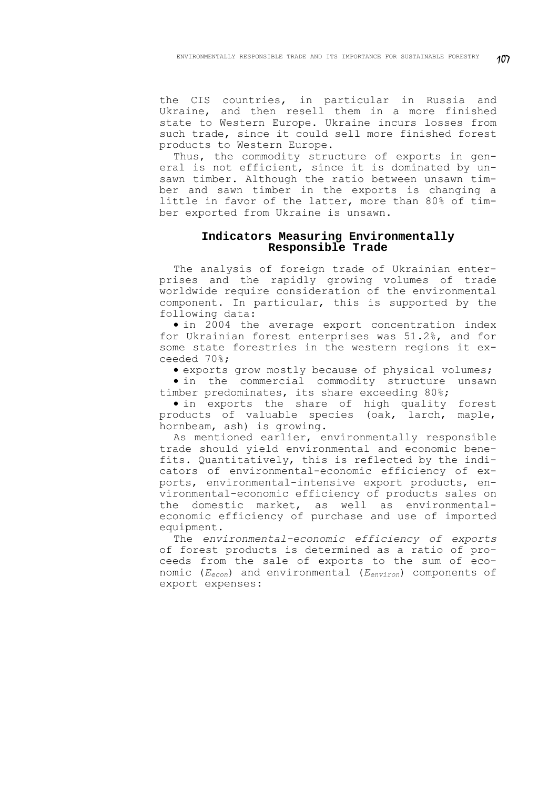the CIS countries, in particular in Russia and Ukraine, and then resell them in a more finished state to Western Europe. Ukraine incurs losses from such trade, since it could sell more finished forest products to Western Europe.

Thus, the commodity structure of exports in general is not efficient, since it is dominated by unsawn timber. Although the ratio between unsawn timber and sawn timber in the exports is changing a little in favor of the latter, more than 80% of timber exported from Ukraine is unsawn.

# **Indicators Measuring Environmentally Responsible Trade**

The analysis of foreign trade of Ukrainian enterprises and the rapidly growing volumes of trade worldwide require consideration of the environmental component. In particular, this is supported by the following data:

• in 2004 the average export concentration index for Ukrainian forest enterprises was 51.2%, and for some state forestries in the western regions it exceeded 70%;

• exports grow mostly because of physical volumes;

• in the commercial commodity structure unsawn timber predominates, its share exceeding 80%;

• in exports the share of high quality forest products of valuable species (oak, larch, maple, hornbeam, ash) is growing.

As mentioned earlier, environmentally responsible trade should yield environmental and economic benefits. Quantitatively, this is reflected by the indicators of environmental-economic efficiency of exports, environmental-intensive export products, environmental-economic efficiency of products sales on the domestic market, as well as environmentaleconomic efficiency of purchase and use of imported equipment.

The *environmental-economic efficiency of exports* of forest products is determined as a ratio of proceeds from the sale of exports to the sum of economic (*Eecon*) and environmental (*Eenviron*) components of export expenses: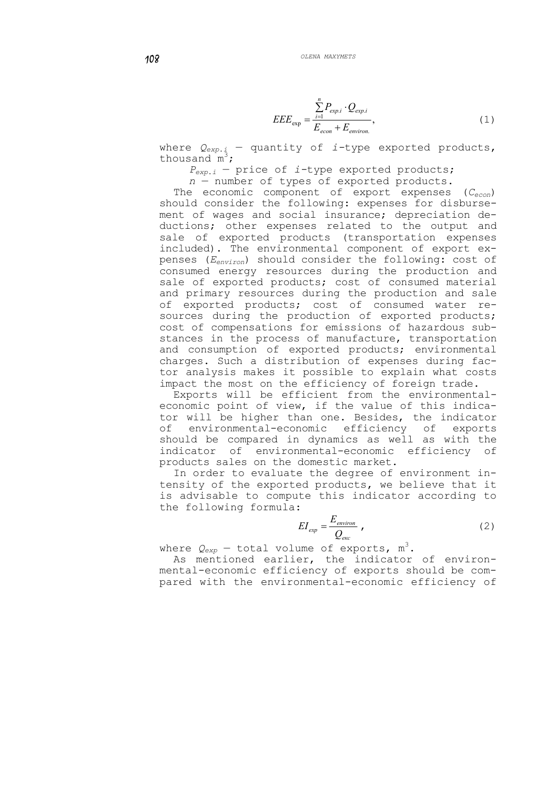$$
EEE_{\exp} = \frac{\sum_{i=1}^{n} P_{\exp.i} \cdot Q_{\exp.i}}{E_{econ} + E_{\text{environment}}},\tag{1}
$$

where *Qexp*.*і* — quantity of *і-*type exported products, thous and  $\mathbb{m}^3$ ;

*Pexp*.*і* — price of *і-*type exported products;

*n* — number of types of exported products.

The economic component of export expenses (*Cеcon*) should consider the following: expenses for disbursement of wages and social insurance; depreciation deductions; other expenses related to the output and sale of exported products (transportation expenses included). The environmental component of export expenses (*Eеnviron*) should consider the following: cost of consumed energy resources during the production and sale of exported products; cost of consumed material and primary resources during the production and sale of exported products; cost of consumed water resources during the production of exported products; cost of compensations for emissions of hazardous substances in the process of manufacture, transportation and consumption of exported products; environmental charges. Such a distribution of expenses during factor analysis makes it possible to explain what costs impact the most on the efficiency of foreign trade.

Exports will be efficient from the environmentaleconomic point of view, if the value of this indicator will be higher than one. Besides, the indicator of environmental-economic efficiency of exports should be compared in dynamics as well as with the indicator of environmental-economic efficiency of products sales on the domestic market.

In order to evaluate the degree of environment intensity of the exported products, we believe that it is advisable to compute this indicator according to the following formula:

$$
EI_{exp} = \frac{E_{environment}}{Q_{exc}} ,
$$
 (2)

where  $Q_{\rm exp}$  — total volume of exports,  ${\mathfrak m}^3.$ 

As mentioned earlier, the indicator of environmental-economic efficiency of exports should be compared with the environmental-economic efficiency of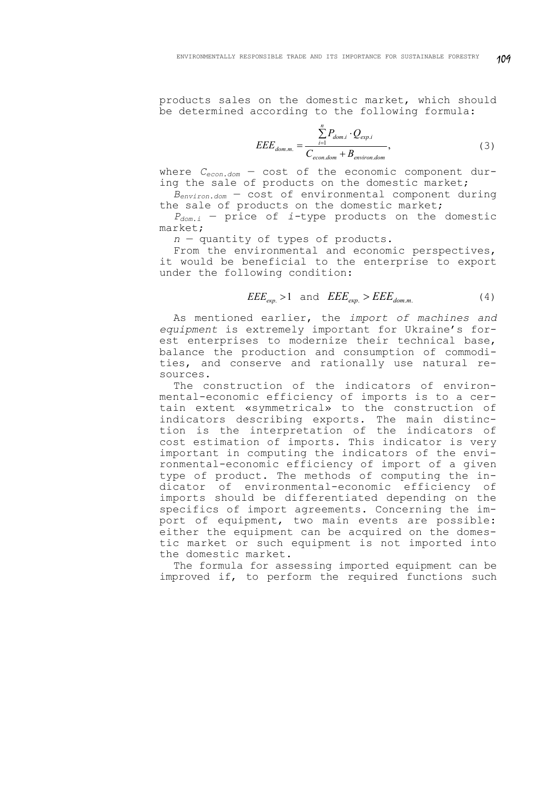products sales on the domestic market, which should be determined according to the following formula:

$$
EEE_{dom.m.} = \frac{\sum_{i=1}^{n} P_{dom.i} \cdot Q_{exp.i}}{C_{econ.dom} + B_{environment}},
$$
\n(3)

where *Cecon.dom* — cost of the economic component during the sale of products on the domestic market;

 $B_{environ.dom}$  – cost of environmental component during the sale of products on the domestic market;

*Pdom.i* — price of *і-*type products on the domestic market;

*n* — quantity of types of products.

From the environmental and economic perspectives, it would be beneficial to the enterprise to export under the following condition:

$$
EEE_{\text{exp.}} > 1 \quad \text{and} \quad EEE_{\text{exp.}} > EEE_{\text{dom.m.}} \tag{4}
$$

As mentioned earlier, the *import of machines and equipment* is extremely important for Ukraine's forest enterprises to modernize their technical base, balance the production and consumption of commodities, and conserve and rationally use natural resources.

The construction of the indicators of environmental-economic efficiency of imports is to a certain extent «symmetrical» to the construction of indicators describing exports. The main distinction is the interpretation of the indicators of cost estimation of imports. This indicator is very important in computing the indicators of the environmental-economic efficiency of import of a given type of product. The methods of computing the indicator of environmental-economic efficiency of imports should be differentiated depending on the specifics of import agreements. Concerning the import of equipment, two main events are possible: either the equipment can be acquired on the domestic market or such equipment is not imported into the domestic market.

The formula for assessing imported equipment can be improved if, to perform the required functions such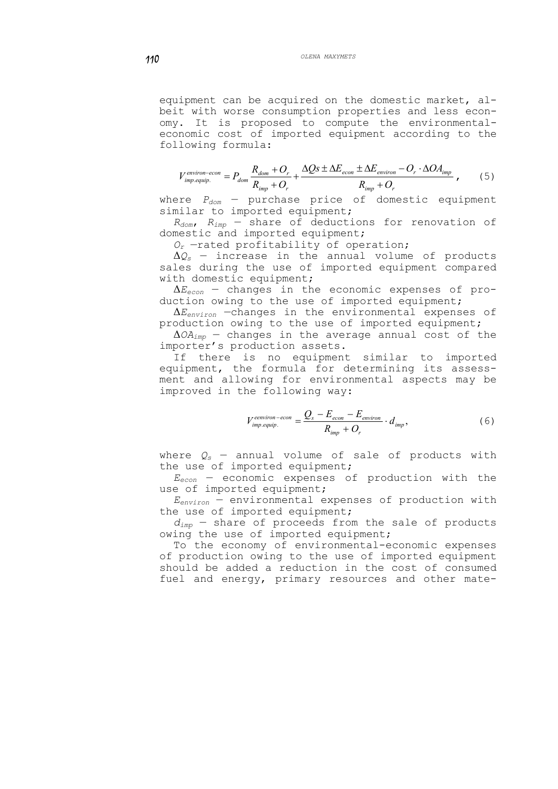equipment can be acquired on the domestic market, albeit with worse consumption properties and less economy. It is proposed to compute the environmentaleconomic cost of imported equipment according to the following formula:

$$
V_{imp.equiv.}^{environ-econ} = P_{dom} \frac{R_{dom} + O_r}{R_{imp} + O_r} + \frac{\Delta Qs \pm \Delta E_{econ} \pm \Delta E_{environ} - O_r \cdot \Delta O A_{imp}}{R_{imp} + O_r} ,\qquad (5)
$$

where *Pdom* — purchase price of domestic equipment similar to imported equipment;

*Rdom*, *Rimp* — share of deductions for renovation of domestic and imported equipment;

*Or* —rated profitability of operation;

Δ*Qs* — increase in the annual volume of products sales during the use of imported equipment compared with domestic equipment;

Δ*Eеcon* — changes in the economic expenses of production owing to the use of imported equipment;

Δ*Eenviron* —changes in the environmental expenses of production owing to the use of imported equipment;

Δ*ОAimp* — changes in the average annual cost of the importer's production assets.

If there is no equipment similar to imported equipment, the formula for determining its assessment and allowing for environmental aspects may be improved in the following way:

$$
V_{imp. equip.}^{eenviron-econ} = \frac{Q_s - E_{econ} - E_{environ}}{R_{imp} + O_r} \cdot d_{imp},
$$
 (6)

where  $Q_s$  – annual volume of sale of products with the use of imported equipment;

*Eecon* — economic expenses of production with the use of imported equipment;

*Eenviron* — environmental expenses of production with the use of imported equipment;

 $d_{\text{irm}}$  – share of proceeds from the sale of products owing the use of imported equipment;

To the economy of environmental-economic expenses of production owing to the use of imported equipment should be added a reduction in the cost of consumed fuel and energy, primary resources and other mate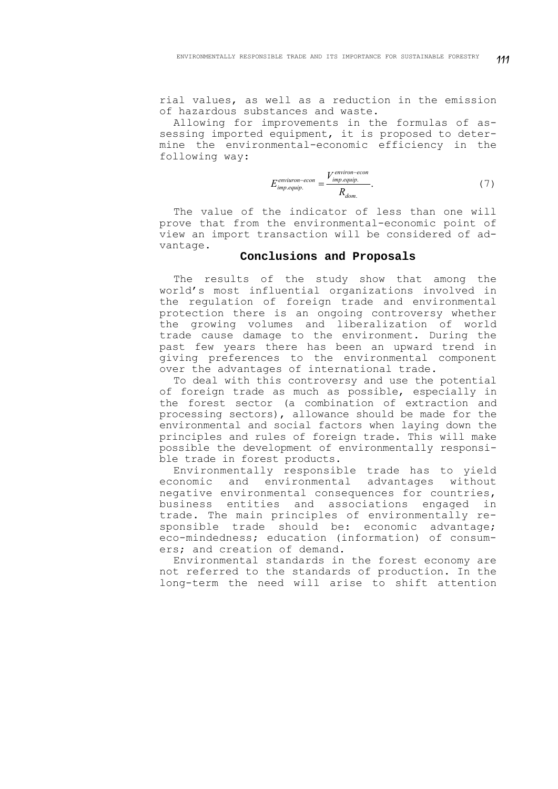rial values, as well as a reduction in the emission of hazardous substances and waste.

Allowing for improvements in the formulas of assessing imported equipment, it is proposed to determine the environmental-economic efficiency in the following way:

$$
E_{imp.equiv.}^{environ-econ} = \frac{V_{imp.equiv.}^{environ-econ}}{R_{dom.}}.
$$
 (7)

The value of the indicator of less than one will prove that from the environmental-economic point of view an import transaction will be considered of advantage.

### **Conclusions and Proposals**

The results of the study show that among the world's most influential organizations involved in the regulation of foreign trade and environmental protection there is an ongoing controversy whether the growing volumes and liberalization of world trade cause damage to the environment. During the past few years there has been an upward trend in giving preferences to the environmental component over the advantages of international trade.

To deal with this controversy and use the potential of foreign trade as much as possible, especially in the forest sector (a combination of extraction and processing sectors), allowance should be made for the environmental and social factors when laying down the principles and rules of foreign trade. This will make possible the development of environmentally responsible trade in forest products.

Environmentally responsible trade has to yield economic and environmental advantages without negative environmental consequences for countries, business entities and associations engaged in trade. The main principles of environmentally responsible trade should be: economic advantage; eco-mindedness; education (information) of consumers; and creation of demand.

Environmental standards in the forest economy are not referred to the standards of production. In the long-term the need will arise to shift attention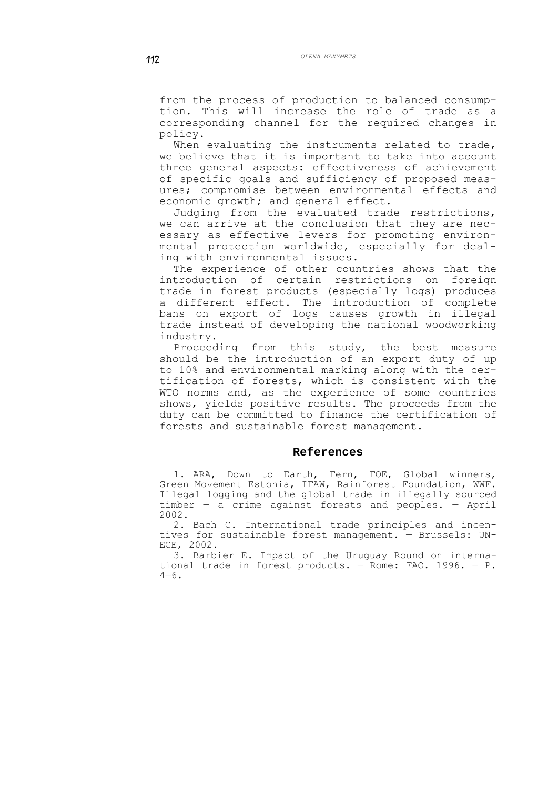from the process of production to balanced consumption. This will increase the role of trade as a corresponding channel for the required changes in policy.

When evaluating the instruments related to trade, we believe that it is important to take into account three general aspects: effectiveness of achievement of specific goals and sufficiency of proposed measures; compromise between environmental effects and economic growth; and general effect.

Judging from the evaluated trade restrictions, we can arrive at the conclusion that they are necessary as effective levers for promoting environmental protection worldwide, especially for dealing with environmental issues.

The experience of other countries shows that the introduction of certain restrictions on foreign trade in forest products (especially logs) produces a different effect. The introduction of complete bans on export of logs causes growth in illegal trade instead of developing the national woodworking industry.

Proceeding from this study, the best measure should be the introduction of an export duty of up to 10% and environmental marking along with the certification of forests, which is consistent with the WTO norms and, as the experience of some countries shows, yields positive results. The proceeds from the duty can be committed to finance the certification of forests and sustainable forest management.

#### **References**

1. ARA, Down to Earth, Fern, FOE, Global winners, Green Movement Estonia, IFAW, Rainforest Foundation, WWF. Illegal logging and the global trade in illegally sourced timber — a crime against forests and peoples. — April 2002.

2. Bach C. International trade principles and incentives for sustainable forest management. — Brussels: UN-ECE, 2002.

3. Barbier E. Impact of the Uruguay Round on international trade in forest products. — Rome: FAO. 1996. — Р.  $4 - 6$ .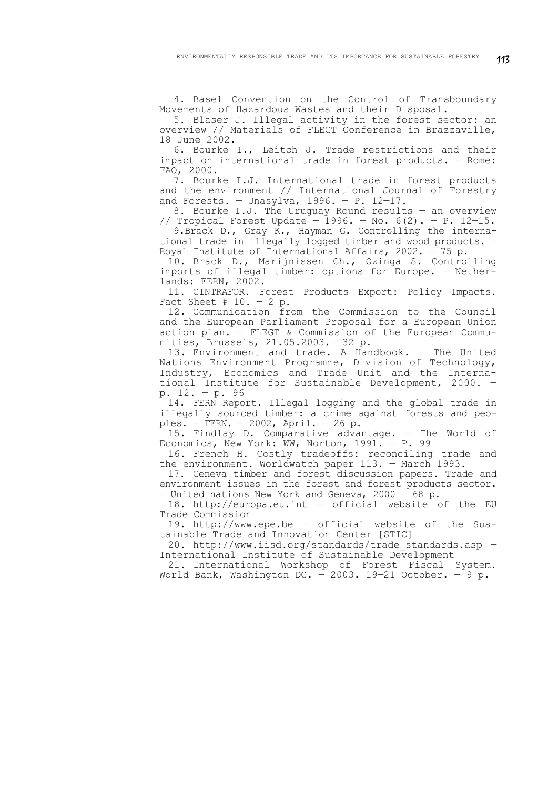4. Basel Convention on the Control of Transboundary Movements of Hazardous Wastes and their Disposal.

5. Blaser J. Illegal activity in the forest sector: an overview // Materials of FLEGT Conference in Brazzaville, 18 June 2002.

6. Bourke I., Leitch J. Trade restrictions and their impact on international trade in forest products. — Rome: FAO, 2000.

7. Bourke I.J. International trade in forest products and the environment // International Journal of Forestry and Forests. - Unasylva,  $1996. - P. 12-17.$ 

8. Bourke I.J. The Uruguay Round results — an overview // Tropical Forest Update - 1996. - No.  $6(2)$ . - P. 12-15.

9. Brack D., Gray K., Hayman G. Controlling the international trade in illegally logged timber and wood products. — Royal Institute of International Affairs, 2002. — 75 p.

10. Brack D., Marijnissen Ch., Ozinga S. Controlling imports of illegal timber: options for Europe. — Netherlands: FERN, 2002.

11. CINTRAFOR. Forest Products Export: Policy Impacts. Fact Sheet  $# 10. - 2 p.$ 

12. Communication from the Commission to the Council and the European Parliament Proposal for a European Union action plan. — FLEGT & Commission of the European Communities, Brussels, 21.05.2003.— 32 p.

13. Environment and trade. A Handbook. — The United Nations Environment Programme, Division of Technology, Industry, Economics and Trade Unit and the International Institute for Sustainable Development, 2000. p. 12. — p. 96

14. FERN Report. Illegal logging and the global trade in illegally sourced timber: a crime against forests and peoples. — FERN. — 2002, April. — 26 р.

15. Findlay D. Comparative advantage. — The World of Economics, New York: WW, Norton, 1991. — P. 99

16. French H. Costly tradeoffs: reconciling trade and the environment. Worldwatch paper 113. — March 1993.

17. Geneva timber and forest discussion papers. Trade and environment issues in the forest and forest products sector. - United nations New York and Geneva, 2000 - 68 p.

18. http://europa.eu.int — official website of the EU Trade Commission

19. http://www.epe.be — official website of the Sustainable Trade and Innovation Center [STIC]

20. http://www.iisd.org/standards/trade\_standards.asp — International Institute of Sustainable Development

21. International Workshop of Forest Fiscal System. World Bank, Washington DC. - 2003. 19-21 October. - 9 p.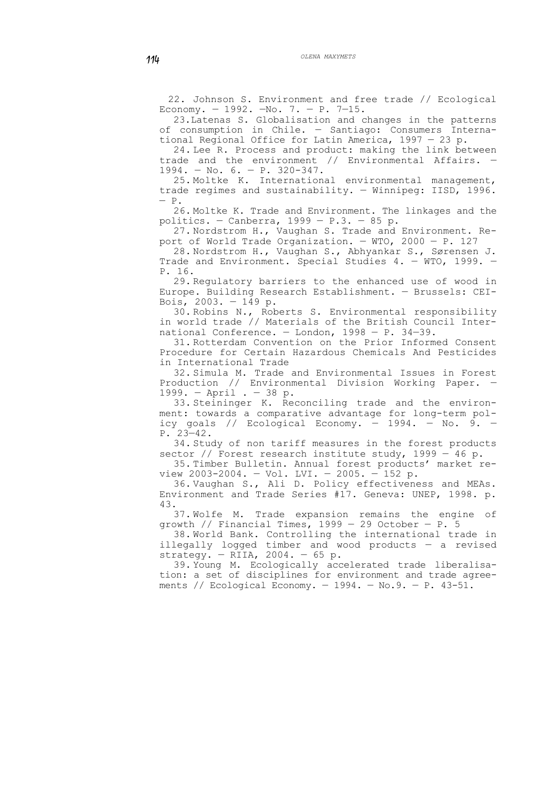22. Johnson S. Environment and free trade // Ecological Economy. — 1992. —No. 7. — Р. 7—15.

23.Latenas S. Globalisation and changes in the patterns of consumption in Chile. — Santiago: Consumers International Regional Office for Latin America, 1997 — 23 р.

24. Lee R. Process and product: making the link between trade and the environment // Environmental Affairs. — 1994. — No. 6. — P. 320-347.

25. Moltke K. International environmental management, trade regimes and sustainability. — Winnipeg: IISD, 1996. — Р.

26. Moltke K. Trade and Environment. The linkages and the politics. - Canberra,  $1999 - P.3. - 85 p.$ 

27. Nordstrom H., Vaughan S. Trade and Environment. Report of World Trade Organization. — WTO, 2000 — Р. 127

28. Nordstrom H., Vaughan S., Abhyankar S., Sørensen J. Trade and Environment. Special Studies 4. — WTO, 1999. — Р. 16.

29. Regulatory barriers to the enhanced use of wood in Europe. Building Research Establishment. — Brussels: CEI-Bois, 2003. — 149 p.

30. Robins N., Roberts S. Environmental responsibility in world trade // Materials of the British Council International Conference. — London, 1998 — Р. 34—39.

31. Rotterdam Convention on the Prior Informed Consent Procedure for Certain Hazardous Chemicals And Pesticides in International Trade

32. Simula M. Trade and Environmental Issues in Forest Production // Environmental Division Working Paper. — 1999. — April . — 38 p.

33. Steininger K. Reconciling trade and the environment: towards a comparative advantage for long-term policy goals // Ecological Economy.  $-$  1994.  $-$  No. 9.  $-$ P. 23—42.

34. Study of non tariff measures in the forest products sector // Forest research institute study,  $1999 - 46$  p.

35. Timber Bulletin. Annual forest products' market review 2003-2004. — Vol. LVI. — 2005. — 152 p.

36. Vaughan S., Ali D. Policy effectiveness and MEAs. Environment and Trade Series #17. Geneva: UNEP, 1998. p. 43.

37. Wolfe M. Trade expansion remains the engine of growth // Financial Times,  $1999 - 29$  October - P. 5

38. World Bank. Controlling the international trade in illegally logged timber and wood products — a revised strategy.  $-$  RIIA, 2004.  $-$  65 p.

39. Young M. Ecologically accelerated trade liberalisation: a set of disciplines for environment and trade agreements // Ecological Economy.  $-$  1994.  $-$  No.9.  $-$  P. 43-51.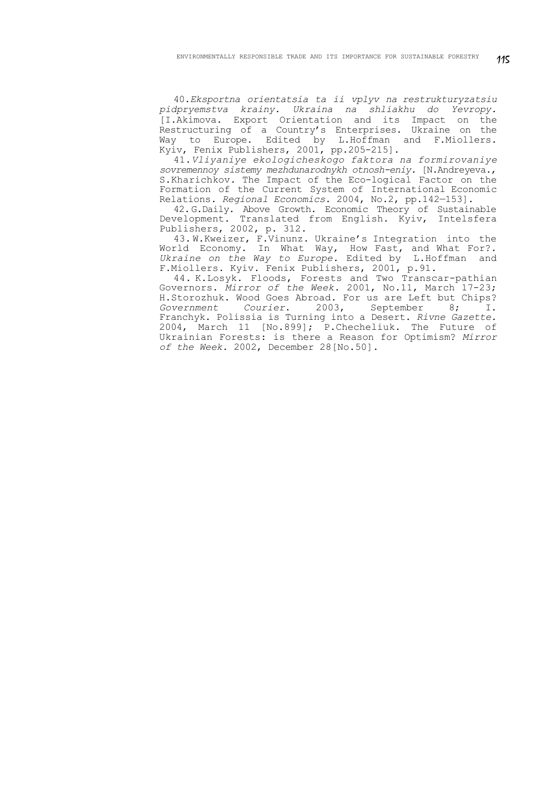40.*Eksportna orientatsia ta ii vplyv na restrukturyzatsiu pidpryemstva krainy. Ukraina na shliakhu do Yevropy.* [I.Akimova. Export Orientation and its Impact on the Restructuring of a Country's Enterprises. Ukraine on the Way to Europe. Edited by L.Hoffman and F.Miollers. Kyiv, Fenix Publishers, 2001, pp.205-215].

41.*Vliyaniye ekologicheskogo faktora na formirovaniye sovremennoy sistemy mezhdunarodnykh otnosh-eniy.* [N.Andreyeva., S.Kharichkov. The Impact of the Eco-logical Factor on the Formation of the Current System of International Economic Relations. *Regional Economics.* 2004, No.2, pp.142—153].

42.G.Daily. Above Growth. Economic Theory of Sustainable Development. Translated from English. Kyiv, Intelsfera Publishers, 2002, p. 312.

43. W.Kweizer, F.Vinunz. Ukraine's Integration into the World Economy. In What Way, How Fast, and What For?. *Ukraine on the Way to Europe.* Edited by L.Hoffman and F.Miollers. Kyiv. Fenix Publishers, 2001, p.91.

44. K.Losyk. Floods, Forests and Two Transcar-pathian Governors. *Mirror of the Week.* 2001, No.11, March 17-23; H.Storozhuk. Wood Goes Abroad. For us are Left but Chips?<br>Government Courier. 2003, September 8; I. *Government Courier*. 2003, September 8; I. Franchyk. Polissia is Turning into a Desert. *Rivne Gazette.* 2004, March 11 [No.899]; P.Checheliuk. The Future of Ukrainian Forests: is there a Reason for Optimism? *Mirror of the Week.* 2002, December 28[No.50].